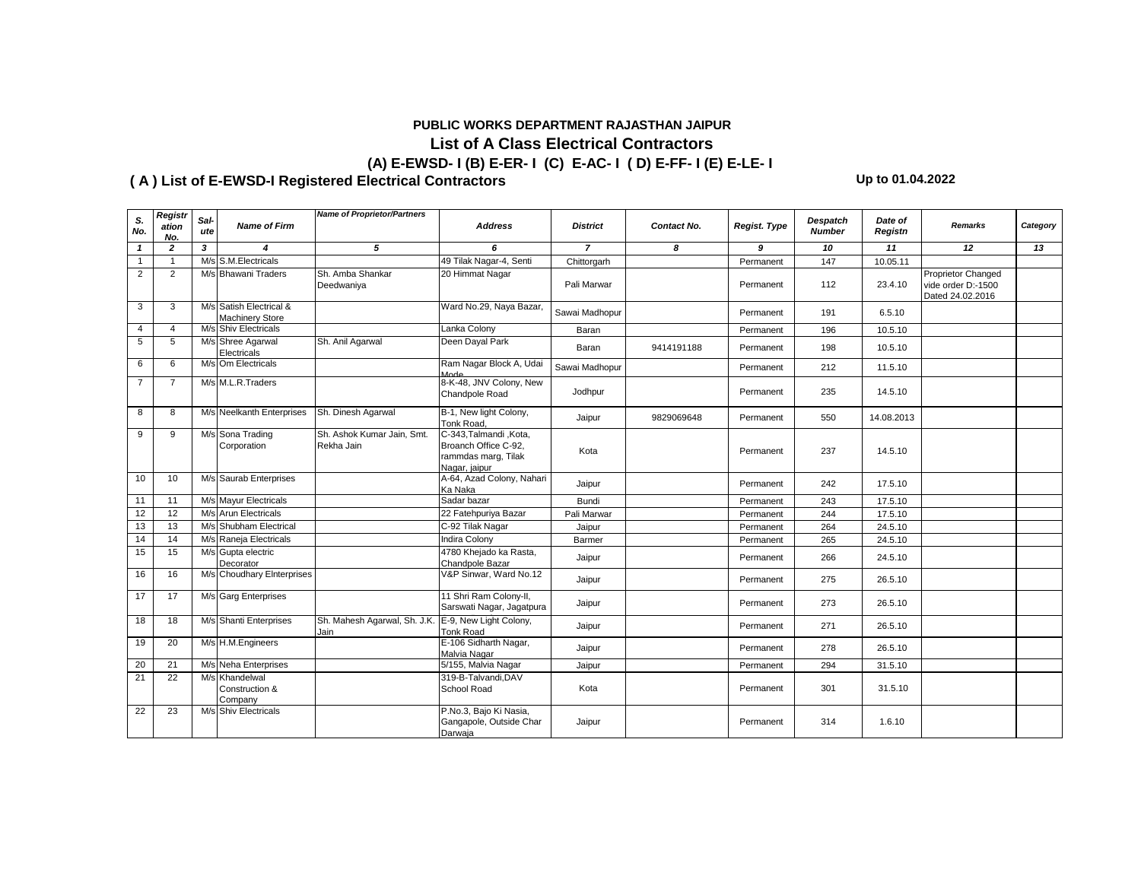### **PUBLIC WORKS DEPARTMENT RAJASTHAN JAIPUR**

# **List of A Class Electrical Contractors (A) E-EWSD- I (B) E-ER- I (C) E-AC- I ( D) E-FF- I (E) E-LE- I**

**( A ) List of E-EWSD-I Registered Electrical Contractors Up to 01.04.2022**

| S.             | Registr        | Sal- |                                                   | <b>Name of Proprietor/Partners</b>       |                                                                                        |                 |             |              | Despatch      | Date of    |                                                              |          |
|----------------|----------------|------|---------------------------------------------------|------------------------------------------|----------------------------------------------------------------------------------------|-----------------|-------------|--------------|---------------|------------|--------------------------------------------------------------|----------|
| No.            | ation<br>No.   | ute  | <b>Name of Firm</b>                               |                                          | <b>Address</b>                                                                         | <b>District</b> | Contact No. | Regist. Type | <b>Number</b> | Registn    | <b>Remarks</b>                                               | Category |
| $\mathbf{1}$   | $\mathbf{z}$   | 3    | 4                                                 | 5                                        | 6                                                                                      | $\overline{7}$  | 8           | 9            | 10            | 11         | 12                                                           | 13       |
| $\mathbf{1}$   | $\overline{1}$ |      | M/s S.M. Electricals                              |                                          | 49 Tilak Nagar-4, Senti                                                                | Chittorgarh     |             | Permanent    | 147           | 10.05.11   |                                                              |          |
| $\overline{2}$ | $\overline{2}$ |      | M/s Bhawani Traders                               | Sh. Amba Shankar<br>Deedwaniya           | 20 Himmat Nagar                                                                        | Pali Marwar     |             | Permanent    | 112           | 23.4.10    | Proprietor Changed<br>vide order D:-1500<br>Dated 24.02.2016 |          |
| 3              | 3              |      | M/s Satish Electrical &<br><b>Machinery Store</b> |                                          | Ward No.29, Naya Bazar,                                                                | Sawai Madhopur  |             | Permanent    | 191           | 6.5.10     |                                                              |          |
| 4              | 4              |      | M/s Shiv Electricals                              |                                          | Lanka Colony                                                                           | Baran           |             | Permanent    | 196           | 10.5.10    |                                                              |          |
| 5              | 5              |      | M/s Shree Agarwal<br>Electricals                  | Sh. Anil Agarwal                         | Deen Dayal Park                                                                        | Baran           | 9414191188  | Permanent    | 198           | 10.5.10    |                                                              |          |
| 6              | 6              |      | M/s Om Electricals                                |                                          | Ram Nagar Block A, Udai<br>Mode                                                        | Sawai Madhopur  |             | Permanent    | 212           | 11.5.10    |                                                              |          |
| $\overline{7}$ | $\overline{7}$ |      | M/s M.L.R.Traders                                 |                                          | 8-K-48, JNV Colony, New<br>Chandpole Road                                              | Jodhpur         |             | Permanent    | 235           | 14.5.10    |                                                              |          |
| 8              | 8              |      | M/s Neelkanth Enterprises                         | Sh. Dinesh Agarwal                       | B-1, New light Colony,<br>Tonk Road,                                                   | Jaipur          | 9829069648  | Permanent    | 550           | 14.08.2013 |                                                              |          |
| 9              | 9              |      | M/s Sona Trading<br>Corporation                   | Sh. Ashok Kumar Jain, Smt.<br>Rekha Jain | C-343, Talmandi, Kota,<br>Broanch Office C-92,<br>rammdas marg, Tilak<br>Nagar, jaipur | Kota            |             | Permanent    | 237           | 14.5.10    |                                                              |          |
| 10             | 10             |      | M/s Saurab Enterprises                            |                                          | A-64, Azad Colony, Nahari<br>Ka Naka                                                   | Jaipur          |             | Permanent    | 242           | 17.5.10    |                                                              |          |
| 11             | 11             |      | M/s Mayur Electricals                             |                                          | Sadar bazar                                                                            | Bundi           |             | Permanent    | 243           | 17.5.10    |                                                              |          |
| 12             | 12             |      | M/s Arun Electricals                              |                                          | 22 Fatehpuriya Bazar                                                                   | Pali Marwar     |             | Permanent    | 244           | 17.5.10    |                                                              |          |
| 13             | 13             |      | M/s Shubham Electrical                            |                                          | C-92 Tilak Nagar                                                                       | Jaipur          |             | Permanent    | 264           | 24.5.10    |                                                              |          |
| 14             | 14             |      | M/s Raneja Electricals                            |                                          | <b>Indira Colony</b>                                                                   | Barmer          |             | Permanent    | 265           | 24.5.10    |                                                              |          |
| 15             | 15             |      | M/s Gupta electric<br>Decorator                   |                                          | 4780 Khejado ka Rasta,<br>Chandpole Bazar                                              | Jaipur          |             | Permanent    | 266           | 24.5.10    |                                                              |          |
| 16             | 16             |      | M/s Choudhary EInterprises                        |                                          | V&P Sinwar, Ward No.12                                                                 | Jaipur          |             | Permanent    | 275           | 26.5.10    |                                                              |          |
| 17             | 17             |      | M/s Garg Enterprises                              |                                          | 11 Shri Ram Colony-II,<br>Sarswati Nagar, Jagatpura                                    | Jaipur          |             | Permanent    | 273           | 26.5.10    |                                                              |          |
| 18             | 18             |      | M/s Shanti Enterprises                            | Sh. Mahesh Agarwal, Sh. J.K.<br>Jain     | E-9, New Light Colony,<br><b>Tonk Road</b>                                             | Jaipur          |             | Permanent    | 271           | 26.5.10    |                                                              |          |
| 19             | 20             |      | M/s H.M.Engineers                                 |                                          | E-106 Sidharth Nagar,<br>Malvia Nagar                                                  | Jaipur          |             | Permanent    | 278           | 26.5.10    |                                                              |          |
| 20             | 21             |      | M/s Neha Enterprises                              |                                          | 5/155, Malvia Nagar                                                                    | Jaipur          |             | Permanent    | 294           | 31.5.10    |                                                              |          |
| 21             | 22             | M/s  | Khandelwal<br>Construction &<br>Company           |                                          | 319-B-Talvandi.DAV<br>School Road                                                      | Kota            |             | Permanent    | 301           | 31.5.10    |                                                              |          |
| 22             | 23             |      | M/s Shiv Electricals                              |                                          | P.No.3, Bajo Ki Nasia,<br>Gangapole, Outside Char<br>Darwaja                           | Jaipur          |             | Permanent    | 314           | 1.6.10     |                                                              |          |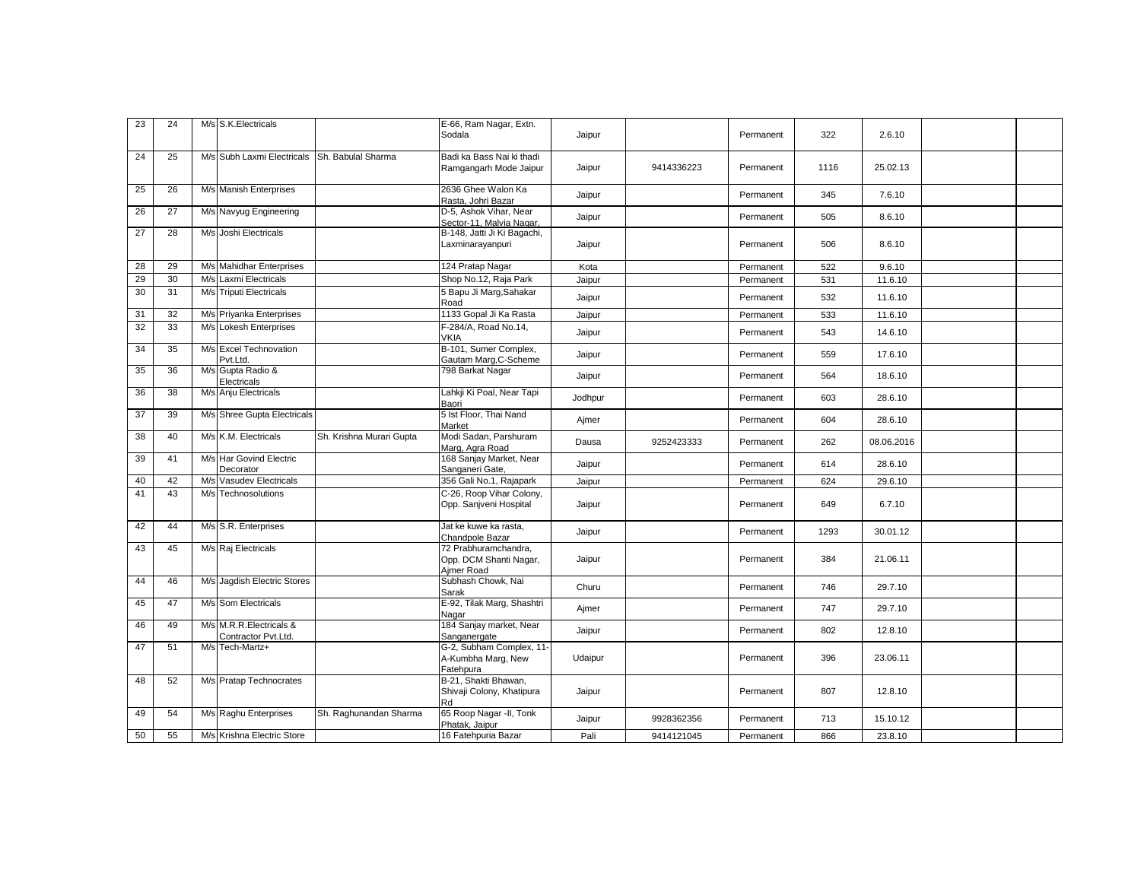| 23 | 24 |     | M/s S.K. Electricals                           |                          | E-66, Ram Nagar, Extn.                                       |         |            |           |      |            |  |
|----|----|-----|------------------------------------------------|--------------------------|--------------------------------------------------------------|---------|------------|-----------|------|------------|--|
|    |    |     |                                                |                          | Sodala                                                       | Jaipur  |            | Permanent | 322  | 2.6.10     |  |
| 24 | 25 |     | M/s Subh Laxmi Electricals                     | Sh. Babulal Sharma       | Badi ka Bass Nai ki thadi<br>Ramgangarh Mode Jaipur          | Jaipur  | 9414336223 | Permanent | 1116 | 25.02.13   |  |
| 25 | 26 |     | M/s Manish Enterprises                         |                          | 2636 Ghee Walon Ka<br>Rasta, Johri Bazar                     | Jaipur  |            | Permanent | 345  | 7.6.10     |  |
| 26 | 27 |     | M/s Navyug Engineering                         |                          | D-5, Ashok Vihar, Near<br>Sector-11, Malvia Nagar,           | Jaipur  |            | Permanent | 505  | 8.6.10     |  |
| 27 | 28 |     | M/s Joshi Electricals                          |                          | B-148, Jatti Ji Ki Bagachi,<br>Laxminarayanpuri              | Jaipur  |            | Permanent | 506  | 8.6.10     |  |
| 28 | 29 |     | M/s Mahidhar Enterprises                       |                          | 124 Pratap Nagar                                             | Kota    |            | Permanent | 522  | 9.6.10     |  |
| 29 | 30 |     | M/s Laxmi Electricals                          |                          | Shop No.12, Raja Park                                        | Jaipur  |            | Permanent | 531  | 11.6.10    |  |
| 30 | 31 |     | M/s Triputi Electricals                        |                          | 5 Bapu Ji Marg, Sahakar<br>Road                              | Jaipur  |            | Permanent | 532  | 11.6.10    |  |
| 31 | 32 |     | M/s Priyanka Enterprises                       |                          | 1133 Gopal Ji Ka Rasta                                       | Jaipur  |            | Permanent | 533  | 11.6.10    |  |
| 32 | 33 |     | M/s Lokesh Enterprises                         |                          | F-284/A, Road No.14,<br><b>VKIA</b>                          | Jaipur  |            | Permanent | 543  | 14.6.10    |  |
| 34 | 35 |     | M/s Excel Technovation<br>Pvt.Ltd.             |                          | B-101, Sumer Complex,<br>Gautam Marg, C-Scheme               | Jaipur  |            | Permanent | 559  | 17.6.10    |  |
| 35 | 36 |     | M/s Gupta Radio &<br>Electricals               |                          | 798 Barkat Nagar                                             | Jaipur  |            | Permanent | 564  | 18.6.10    |  |
| 36 | 38 |     | M/s Anju Electricals                           |                          | Lahkji Ki Poal, Near Tapi<br>Baori                           | Jodhpur |            | Permanent | 603  | 28.6.10    |  |
| 37 | 39 |     | M/s Shree Gupta Electricals                    |                          | 5 Ist Floor, Thai Nand<br>Market                             | Ajmer   |            | Permanent | 604  | 28.6.10    |  |
| 38 | 40 |     | M/s K.M. Electricals                           | Sh. Krishna Murari Gupta | Modi Sadan, Parshuram<br>Marg, Agra Road                     | Dausa   | 9252423333 | Permanent | 262  | 08.06.2016 |  |
| 39 | 41 |     | M/s Har Govind Electric<br>Decorator           |                          | 168 Sanjay Market, Near<br>Sanganeri Gate,                   | Jaipur  |            | Permanent | 614  | 28.6.10    |  |
| 40 | 42 |     | M/s Vasudev Electricals                        |                          | 356 Gali No.1, Rajapark                                      | Jaipur  |            | Permanent | 624  | 29.6.10    |  |
| 41 | 43 | M/s | Technosolutions                                |                          | C-26, Roop Vihar Colony,<br>Opp. Sanjveni Hospital           | Jaipur  |            | Permanent | 649  | 6.7.10     |  |
| 42 | 44 |     | M/s S.R. Enterprises                           |                          | Jat ke kuwe ka rasta,<br>Chandpole Bazar                     | Jaipur  |            | Permanent | 1293 | 30.01.12   |  |
| 43 | 45 |     | M/s Raj Electricals                            |                          | 72 Prabhuramchandra,<br>Opp. DCM Shanti Nagar,<br>Aimer Road | Jaipur  |            | Permanent | 384  | 21.06.11   |  |
| 44 | 46 |     | M/s Jagdish Electric Stores                    |                          | Subhash Chowk, Nai<br>Sarak                                  | Churu   |            | Permanent | 746  | 29.7.10    |  |
| 45 | 47 |     | M/s Som Electricals                            |                          | E-92, Tilak Marg, Shashtri<br>Nagar                          | Ajmer   |            | Permanent | 747  | 29.7.10    |  |
| 46 | 49 |     | M/s M.R.R.Electricals &<br>Contractor Pvt.Ltd. |                          | 184 Sanjay market, Near<br>Sanganergate                      | Jaipur  |            | Permanent | 802  | 12.8.10    |  |
| 47 | 51 |     | M/s Tech-Martz+                                |                          | G-2, Subham Complex, 11-<br>A-Kumbha Marg, New<br>Fatehpura  | Udaipur |            | Permanent | 396  | 23.06.11   |  |
| 48 | 52 |     | M/s Pratap Technocrates                        |                          | B-21, Shakti Bhawan,<br>Shivaji Colony, Khatipura<br>Rd      | Jaipur  |            | Permanent | 807  | 12.8.10    |  |
| 49 | 54 |     | M/s Raghu Enterprises                          | Sh. Raghunandan Sharma   | 65 Roop Nagar -II, Tonk<br>Phatak, Jaipur                    | Jaipur  | 9928362356 | Permanent | 713  | 15.10.12   |  |
| 50 | 55 |     | M/s Krishna Electric Store                     |                          | 16 Fatehpuria Bazar                                          | Pali    | 9414121045 | Permanent | 866  | 23.8.10    |  |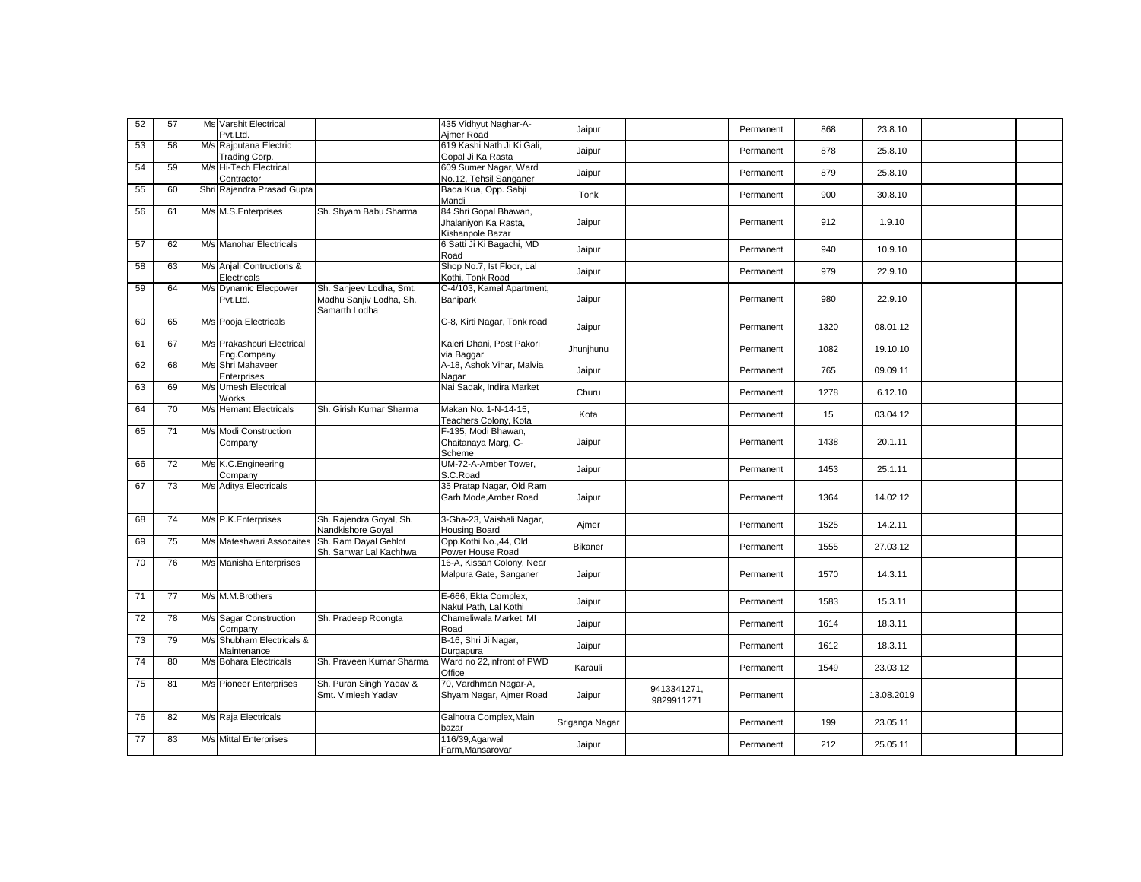| 52 | 57 | <b>Ms Varshit Electrical</b><br>Pvt.Ltd.  |                                                                     | 435 Vidhyut Naghar-A-<br>Ajmer Road                 | Jaipur         |                           | Permanent | 868  | 23.8.10    |  |
|----|----|-------------------------------------------|---------------------------------------------------------------------|-----------------------------------------------------|----------------|---------------------------|-----------|------|------------|--|
| 53 | 58 | M/s Rajputana Electric<br>Trading Corp.   |                                                                     | 619 Kashi Nath Ji Ki Gali,<br>Gopal Ji Ka Rasta     | Jaipur         |                           | Permanent | 878  | 25.8.10    |  |
| 54 | 59 | M/s Hi-Tech Electrical<br>Contractor      |                                                                     | 609 Sumer Nagar, Ward<br>No.12, Tehsil Sanganer     | Jaipur         |                           | Permanent | 879  | 25.8.10    |  |
| 55 | 60 | Shri Rajendra Prasad Gupta                |                                                                     | Bada Kua, Opp. Sabji<br>Mandi                       | Tonk           |                           | Permanent | 900  | 30.8.10    |  |
| 56 | 61 | M/s M.S.Enterprises                       | Sh. Shyam Babu Sharma                                               | 84 Shri Gopal Bhawan,                               |                |                           |           |      |            |  |
|    |    |                                           |                                                                     | Jhalaniyon Ka Rasta,<br>Kishanpole Bazar            | Jaipur         |                           | Permanent | 912  | 1.9.10     |  |
| 57 | 62 | M/s Manohar Electricals                   |                                                                     | 6 Satti Ji Ki Bagachi, MD<br>Road                   | Jaipur         |                           | Permanent | 940  | 10.9.10    |  |
| 58 | 63 | M/s Anjali Contructions &<br>Electricals  |                                                                     | Shop No.7, Ist Floor, Lal<br>Kothi, Tonk Road       | Jaipur         |                           | Permanent | 979  | 22.9.10    |  |
| 59 | 64 | M/s Dynamic Elecpower<br>Pvt.Ltd.         | Sh. Sanjeev Lodha, Smt.<br>Madhu Sanjiv Lodha, Sh.<br>Samarth Lodha | C-4/103, Kamal Apartment,<br>Banipark               | Jaipur         |                           | Permanent | 980  | 22.9.10    |  |
| 60 | 65 | M/s Pooja Electricals                     |                                                                     | C-8, Kirti Nagar, Tonk road                         | Jaipur         |                           | Permanent | 1320 | 08.01.12   |  |
| 61 | 67 | M/s Prakashpuri Electrical<br>Eng.Company |                                                                     | Kaleri Dhani, Post Pakori<br>via Baggar             | Jhunjhunu      |                           | Permanent | 1082 | 19.10.10   |  |
| 62 | 68 | M/s Shri Mahaveer<br>Enterprises          |                                                                     | A-18, Ashok Vihar, Malvia<br>Nagar                  | Jaipur         |                           | Permanent | 765  | 09.09.11   |  |
| 63 | 69 | M/s Umesh Electrical<br>Works             |                                                                     | Nai Sadak, Indira Market                            | Churu          |                           | Permanent | 1278 | 6.12.10    |  |
| 64 | 70 | M/s Hemant Electricals                    | Sh. Girish Kumar Sharma                                             | Makan No. 1-N-14-15.<br>Teachers Colony, Kota       | Kota           |                           | Permanent | 15   | 03.04.12   |  |
| 65 | 71 | M/s Modi Construction                     |                                                                     | F-135, Modi Bhawan,                                 |                |                           | Permanent |      |            |  |
|    |    | Company                                   |                                                                     | Chaitanaya Marg, C-<br>Scheme                       | Jaipur         |                           |           | 1438 | 20.1.11    |  |
| 66 | 72 | M/s K.C.Engineering<br>Company            |                                                                     | UM-72-A-Amber Tower,<br>S.C.Road                    | Jaipur         |                           | Permanent | 1453 | 25.1.11    |  |
| 67 | 73 | M/s Aditya Electricals                    |                                                                     | 35 Pratap Nagar, Old Ram<br>Garh Mode, Amber Road   | Jaipur         |                           | Permanent | 1364 | 14.02.12   |  |
| 68 | 74 | M/s P.K. Enterprises                      | Sh. Rajendra Goyal, Sh.<br>Nandkishore Goyal                        | 3-Gha-23, Vaishali Nagar,<br>Housing Board          | Ajmer          |                           | Permanent | 1525 | 14.2.11    |  |
| 69 | 75 | M/s Mateshwari Assocaites                 | Sh. Ram Dayal Gehlot<br>Sh. Sanwar Lal Kachhwa                      | Opp.Kothi No.,44, Old<br>Power House Road           | Bikaner        |                           | Permanent | 1555 | 27.03.12   |  |
| 70 | 76 | M/s Manisha Enterprises                   |                                                                     | 16-A, Kissan Colony, Near<br>Malpura Gate, Sanganer | Jaipur         |                           | Permanent | 1570 | 14.3.11    |  |
| 71 | 77 | M/s M.M.Brothers                          |                                                                     | E-666, Ekta Complex,<br>Nakul Path, Lal Kothi       | Jaipur         |                           | Permanent | 1583 | 15.3.11    |  |
| 72 | 78 | M/s Sagar Construction<br>Company         | Sh. Pradeep Roongta                                                 | Chameliwala Market, MI<br>Road                      | Jaipur         |                           | Permanent | 1614 | 18.3.11    |  |
| 73 | 79 | M/s Shubham Electricals &<br>Maintenance  |                                                                     | B-16, Shri Ji Nagar,<br>Durgapura                   | Jaipur         |                           | Permanent | 1612 | 18.3.11    |  |
| 74 | 80 | M/s Bohara Electricals                    | Sh. Praveen Kumar Sharma                                            | Ward no 22.infront of PWD<br>Office                 | Karauli        |                           | Permanent | 1549 | 23.03.12   |  |
| 75 | 81 | M/s Pioneer Enterprises                   | Sh. Puran Singh Yadav &<br>Smt. Vimlesh Yadav                       | 70, Vardhman Nagar-A,<br>Shyam Nagar, Ajmer Road    | Jaipur         | 9413341271,<br>9829911271 | Permanent |      | 13.08.2019 |  |
| 76 | 82 | M/s Raja Electricals                      |                                                                     | Galhotra Complex, Main<br>bazar                     | Sriganga Nagar |                           | Permanent | 199  | 23.05.11   |  |
| 77 | 83 | M/s Mittal Enterprises                    |                                                                     | 116/39, Agarwal<br>Farm, Mansarovar                 | Jaipur         |                           | Permanent | 212  | 25.05.11   |  |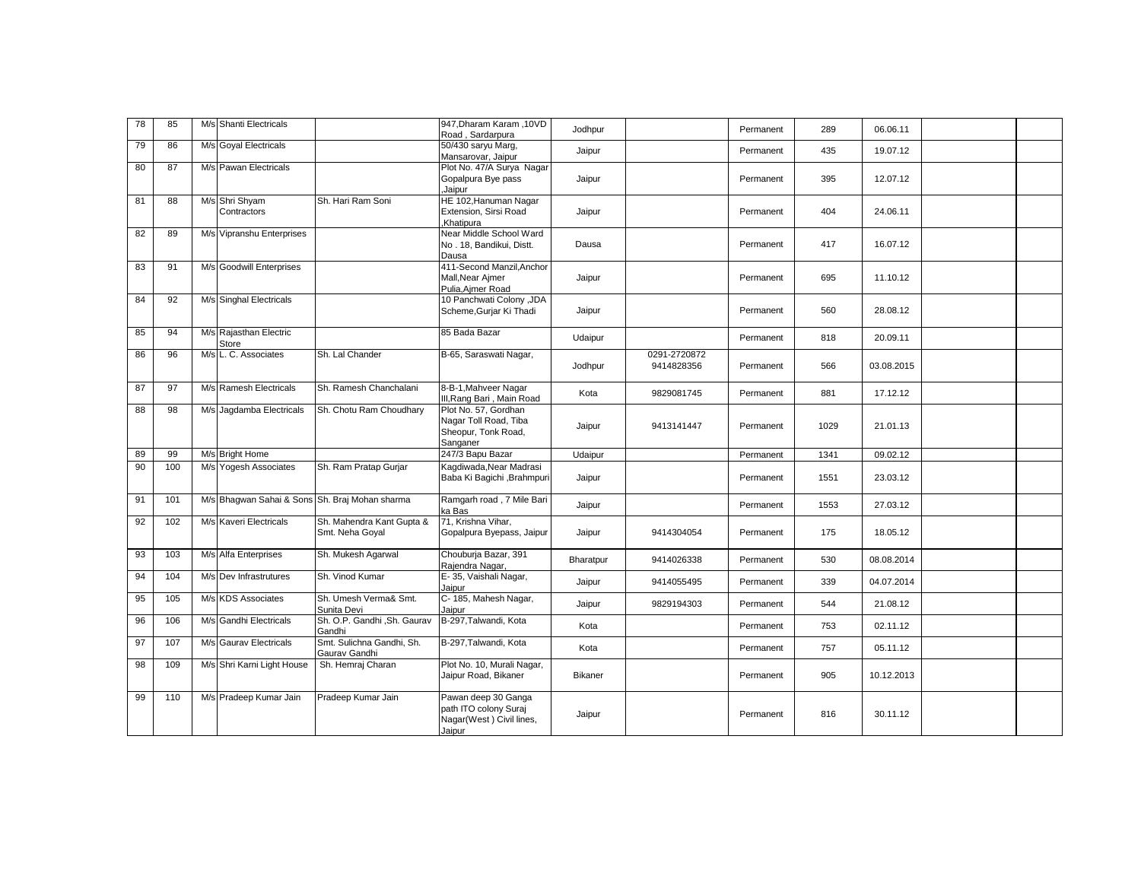| 78 | 85  | M/s Shanti Electricals          |                                                | 947, Dharam Karam, 10VD<br>Road, Sardarpura                                        | Jodhpur        |                            | Permanent | 289  | 06.06.11   |  |
|----|-----|---------------------------------|------------------------------------------------|------------------------------------------------------------------------------------|----------------|----------------------------|-----------|------|------------|--|
| 79 | 86  | M/s Goyal Electricals           |                                                | 50/430 saryu Marq,<br>Mansarovar, Jaipur                                           | Jaipur         |                            | Permanent | 435  | 19.07.12   |  |
| 80 | 87  | M/s Pawan Electricals           |                                                | Plot No. 47/A Surya Nagar<br>Gopalpura Bye pass<br>Jaipur                          | Jaipur         |                            | Permanent | 395  | 12.07.12   |  |
| 81 | 88  | M/s Shri Shyam<br>Contractors   | Sh. Hari Ram Soni                              | HE 102, Hanuman Nagar<br>Extension, Sirsi Road<br>.Khatipura                       | Jaipur         |                            | Permanent | 404  | 24.06.11   |  |
| 82 | 89  | M/s Vipranshu Enterprises       |                                                | Near Middle School Ward<br>No. 18, Bandikui, Distt.<br>Dausa                       | Dausa          |                            | Permanent | 417  | 16.07.12   |  |
| 83 | 91  | M/s Goodwill Enterprises        |                                                | 411-Second Manzil, Anchor<br>Mall, Near Ajmer<br>Pulia, Ajmer Road                 | Jaipur         |                            | Permanent | 695  | 11.10.12   |  |
| 84 | 92  | M/s Singhal Electricals         |                                                | 10 Panchwati Colony , JDA<br>Scheme, Gurjar Ki Thadi                               | Jaipur         |                            | Permanent | 560  | 28.08.12   |  |
| 85 | 94  | M/s Rajasthan Electric<br>Store |                                                | 85 Bada Bazar                                                                      | Udaipur        |                            | Permanent | 818  | 20.09.11   |  |
| 86 | 96  | M/s L. C. Associates            | Sh. Lal Chander                                | B-65, Saraswati Nagar,                                                             | Jodhpur        | 0291-2720872<br>9414828356 | Permanent | 566  | 03.08.2015 |  |
| 87 | 97  | M/s Ramesh Electricals          | Sh. Ramesh Chanchalani                         | 8-B-1, Mahveer Nagar<br>III, Rang Bari, Main Road                                  | Kota           | 9829081745                 | Permanent | 881  | 17.12.12   |  |
| 88 | 98  | M/s Jagdamba Electricals        | Sh. Chotu Ram Choudhary                        | Plot No. 57, Gordhan<br>Nagar Toll Road, Tiba<br>Sheopur, Tonk Road,<br>Sanganer   | Jaipur         | 9413141447                 | Permanent | 1029 | 21.01.13   |  |
| 89 | 99  | M/s Bright Home                 |                                                | 247/3 Bapu Bazar                                                                   | Udaipur        |                            | Permanent | 1341 | 09.02.12   |  |
| 90 | 100 | M/s Yogesh Associates           | Sh. Ram Pratap Gurjar                          | Kagdiwada, Near Madrasi<br>Baba Ki Bagichi , Brahmpuri                             | Jaipur         |                            | Permanent | 1551 | 23.03.12   |  |
| 91 | 101 |                                 | M/s Bhagwan Sahai & Sons Sh. Braj Mohan sharma | Ramgarh road, 7 Mile Bari<br>ka Bas                                                | Jaipur         |                            | Permanent | 1553 | 27.03.12   |  |
| 92 | 102 | M/s Kaveri Electricals          | Sh. Mahendra Kant Gupta &<br>Smt. Neha Goyal   | 71, Krishna Vihar,<br>Gopalpura Byepass, Jaipur                                    | Jaipur         | 9414304054                 | Permanent | 175  | 18.05.12   |  |
| 93 | 103 | M/s Alfa Enterprises            | Sh. Mukesh Agarwal                             | Chouburja Bazar, 391<br>Rajendra Nagar,                                            | Bharatpur      | 9414026338                 | Permanent | 530  | 08.08.2014 |  |
| 94 | 104 | M/s Dev Infrastrutures          | Sh. Vinod Kumar                                | E-35, Vaishali Nagar,<br>Jaipur                                                    | Jaipur         | 9414055495                 | Permanent | 339  | 04.07.2014 |  |
| 95 | 105 | M/s KDS Associates              | Sh. Umesh Verma& Smt.<br>Sunita Devi           | C-185, Mahesh Nagar,<br>Jaipur                                                     | Jaipur         | 9829194303                 | Permanent | 544  | 21.08.12   |  |
| 96 | 106 | M/s Gandhi Electricals          | Sh. O.P. Gandhi, Sh. Gaurav<br>Gandhi          | B-297, Talwandi, Kota                                                              | Kota           |                            | Permanent | 753  | 02.11.12   |  |
| 97 | 107 | M/s Gaurav Electricals          | Smt. Sulichna Gandhi, Sh.<br>Gaurav Gandhi     | B-297, Talwandi, Kota                                                              | Kota           |                            | Permanent | 757  | 05.11.12   |  |
| 98 | 109 | M/s Shri Karni Light House      | Sh. Hemraj Charan                              | Plot No. 10, Murali Nagar,<br>Jaipur Road, Bikaner                                 | <b>Bikaner</b> |                            | Permanent | 905  | 10.12.2013 |  |
| 99 | 110 | M/s Pradeep Kumar Jain          | Pradeep Kumar Jain                             | Pawan deep 30 Ganga<br>path ITO colony Suraj<br>Nagar(West) Civil lines,<br>Jaipur | Jaipur         |                            | Permanent | 816  | 30.11.12   |  |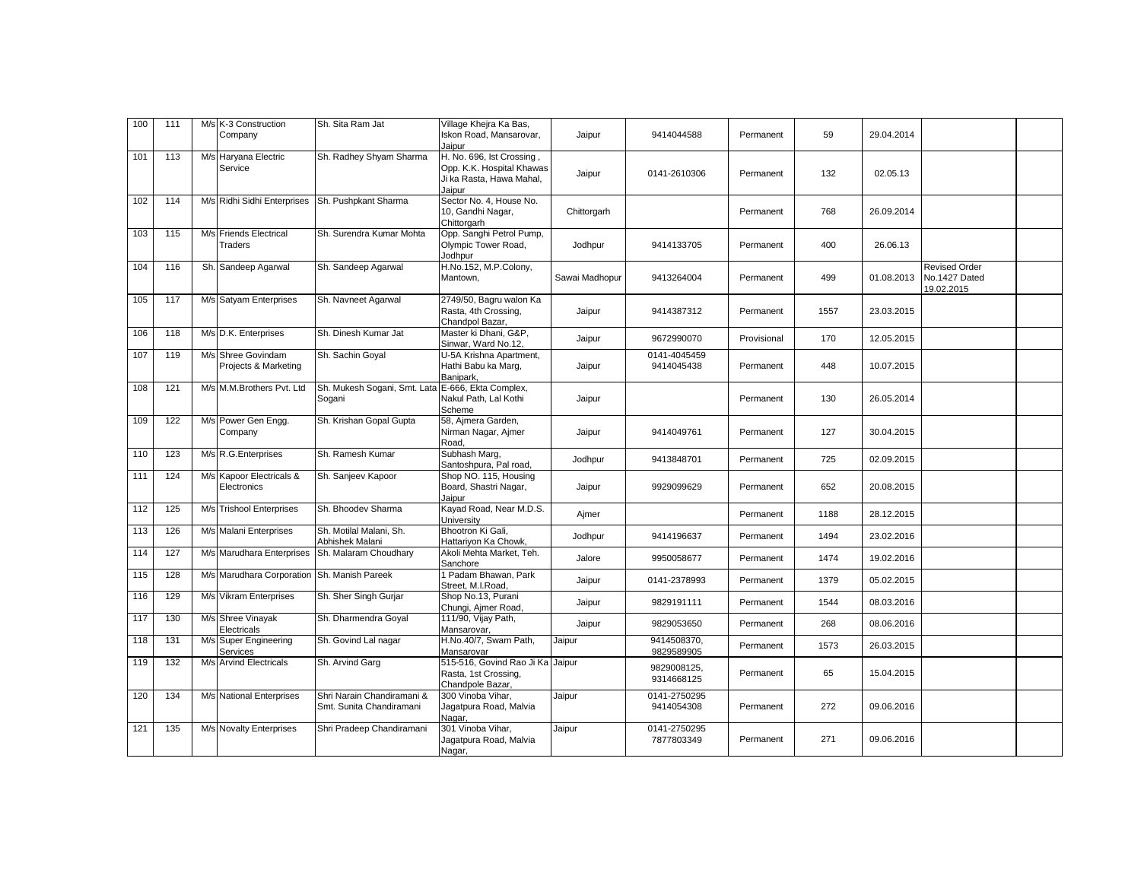| 100 | 111 | M/s K-3 Construction                       | Sh. Sita Ram Jat                                       | Village Khejra Ka Bas,                                                                       |                |                            |             |      |            |                                                     |  |
|-----|-----|--------------------------------------------|--------------------------------------------------------|----------------------------------------------------------------------------------------------|----------------|----------------------------|-------------|------|------------|-----------------------------------------------------|--|
|     |     | Company                                    |                                                        | Iskon Road, Mansarovar,<br>Jaipur                                                            | Jaipur         | 9414044588                 | Permanent   | 59   | 29.04.2014 |                                                     |  |
| 101 | 113 | M/s Haryana Electric<br>Service            | Sh. Radhey Shyam Sharma                                | H. No. 696, lst Crossing,<br>Opp. K.K. Hospital Khawas<br>Ji ka Rasta, Hawa Mahal,<br>Jaipur | Jaipur         | 0141-2610306               | Permanent   | 132  | 02.05.13   |                                                     |  |
| 102 | 114 | M/s Ridhi Sidhi Enterprises                | Sh. Pushpkant Sharma                                   | Sector No. 4, House No.<br>10, Gandhi Nagar,<br>Chittorgarh                                  | Chittorgarh    |                            | Permanent   | 768  | 26.09.2014 |                                                     |  |
| 103 | 115 | M/s Friends Electrical<br>Traders          | Sh. Surendra Kumar Mohta                               | Opp. Sanghi Petrol Pump,<br>Olympic Tower Road,<br>Jodhpur                                   | Jodhpur        | 9414133705                 | Permanent   | 400  | 26.06.13   |                                                     |  |
| 104 | 116 | Sh. Sandeep Agarwal                        | Sh. Sandeep Agarwal                                    | H.No.152, M.P.Colony,<br>Mantown,                                                            | Sawai Madhopur | 9413264004                 | Permanent   | 499  | 01.08.2013 | <b>Revised Order</b><br>No.1427 Dated<br>19.02.2015 |  |
| 105 | 117 | M/s Satyam Enterprises                     | Sh. Navneet Agarwal                                    | 2749/50, Bagru walon Ka<br>Rasta, 4th Crossing,<br>Chandpol Bazar,                           | Jaipur         | 9414387312                 | Permanent   | 1557 | 23.03.2015 |                                                     |  |
| 106 | 118 | M/s D.K. Enterprises                       | Sh. Dinesh Kumar Jat                                   | Master ki Dhani, G&P,<br>Sinwar, Ward No.12,                                                 | Jaipur         | 9672990070                 | Provisional | 170  | 12.05.2015 |                                                     |  |
| 107 | 119 | M/s Shree Govindam<br>Projects & Marketing | Sh. Sachin Goyal                                       | U-5A Krishna Apartment,<br>Hathi Babu ka Marg,<br>Banipark,                                  | Jaipur         | 0141-4045459<br>9414045438 | Permanent   | 448  | 10.07.2015 |                                                     |  |
| 108 | 121 | M/s M.M.Brothers Pvt. Ltd                  | Sh. Mukesh Sogani, Smt. Lata<br>Sogani                 | E-666, Ekta Complex,<br>Nakul Path, Lal Kothi<br>Scheme                                      | Jaipur         |                            | Permanent   | 130  | 26.05.2014 |                                                     |  |
| 109 | 122 | M/s Power Gen Engg.<br>Company             | Sh. Krishan Gopal Gupta                                | 58, Ajmera Garden,<br>Nirman Nagar, Ajmer<br>Road,                                           | Jaipur         | 9414049761                 | Permanent   | 127  | 30.04.2015 |                                                     |  |
| 110 | 123 | M/s R.G.Enterprises                        | Sh. Ramesh Kumar                                       | Subhash Marq,<br>Santoshpura, Pal road,                                                      | Jodhpur        | 9413848701                 | Permanent   | 725  | 02.09.2015 |                                                     |  |
| 111 | 124 | M/s Kapoor Electricals &<br>Electronics    | Sh. Sanjeev Kapoor                                     | Shop NO. 115, Housing<br>Board, Shastri Nagar,<br>Jaipur                                     | Jaipur         | 9929099629                 | Permanent   | 652  | 20.08.2015 |                                                     |  |
| 112 | 125 | M/s Trishool Enterprises                   | Sh. Bhoodev Sharma                                     | Kayad Road, Near M.D.S.<br>University                                                        | Ajmer          |                            | Permanent   | 1188 | 28.12.2015 |                                                     |  |
| 113 | 126 | M/s Malani Enterprises                     | Sh. Motilal Malani, Sh.<br>Abhishek Malani             | Bhootron Ki Gali,<br>Hattariyon Ka Chowk,                                                    | Jodhpur        | 9414196637                 | Permanent   | 1494 | 23.02.2016 |                                                     |  |
| 114 | 127 | M/s Marudhara Enterprises                  | Sh. Malaram Choudhary                                  | Akoli Mehta Market, Teh.<br>Sanchore                                                         | Jalore         | 9950058677                 | Permanent   | 1474 | 19.02.2016 |                                                     |  |
| 115 | 128 | M/s Marudhara Corporation                  | Sh. Manish Pareek                                      | 1 Padam Bhawan, Park<br>Street, M.I.Road,                                                    | Jaipur         | 0141-2378993               | Permanent   | 1379 | 05.02.2015 |                                                     |  |
| 116 | 129 | M/s Vikram Enterprises                     | Sh. Sher Singh Gurjar                                  | Shop No.13, Purani<br>Chungi, Ajmer Road,                                                    | Jaipur         | 9829191111                 | Permanent   | 1544 | 08.03.2016 |                                                     |  |
| 117 | 130 | M/s Shree Vinayak<br>Electricals           | Sh. Dharmendra Goyal                                   | 111/90, Vijay Path,<br>Mansarovar,                                                           | Jaipur         | 9829053650                 | Permanent   | 268  | 08.06.2016 |                                                     |  |
| 118 | 131 | M/s Super Engineering<br>Services          | Sh. Govind Lal nagar                                   | H.No.40/7, Swarn Path,<br>Mansarovar                                                         | Jaipur         | 9414508370,<br>9829589905  | Permanent   | 1573 | 26.03.2015 |                                                     |  |
| 119 | 132 | M/s Arvind Electricals                     | Sh. Arvind Garg                                        | 515-516, Govind Rao Ji Ka Jaipur<br>Rasta, 1st Crossing,<br>Chandpole Bazar,                 |                | 9829008125,<br>9314668125  | Permanent   | 65   | 15.04.2015 |                                                     |  |
| 120 | 134 | M/s National Enterprises                   | Shri Narain Chandiramani &<br>Smt. Sunita Chandiramani | 300 Vinoba Vihar,<br>Jagatpura Road, Malvia<br>Nagar,                                        | Jaipur         | 0141-2750295<br>9414054308 | Permanent   | 272  | 09.06.2016 |                                                     |  |
| 121 | 135 | M/s Novalty Enterprises                    | Shri Pradeep Chandiramani                              | 301 Vinoba Vihar,<br>Jagatpura Road, Malvia<br>Nagar,                                        | Jaipur         | 0141-2750295<br>7877803349 | Permanent   | 271  | 09.06.2016 |                                                     |  |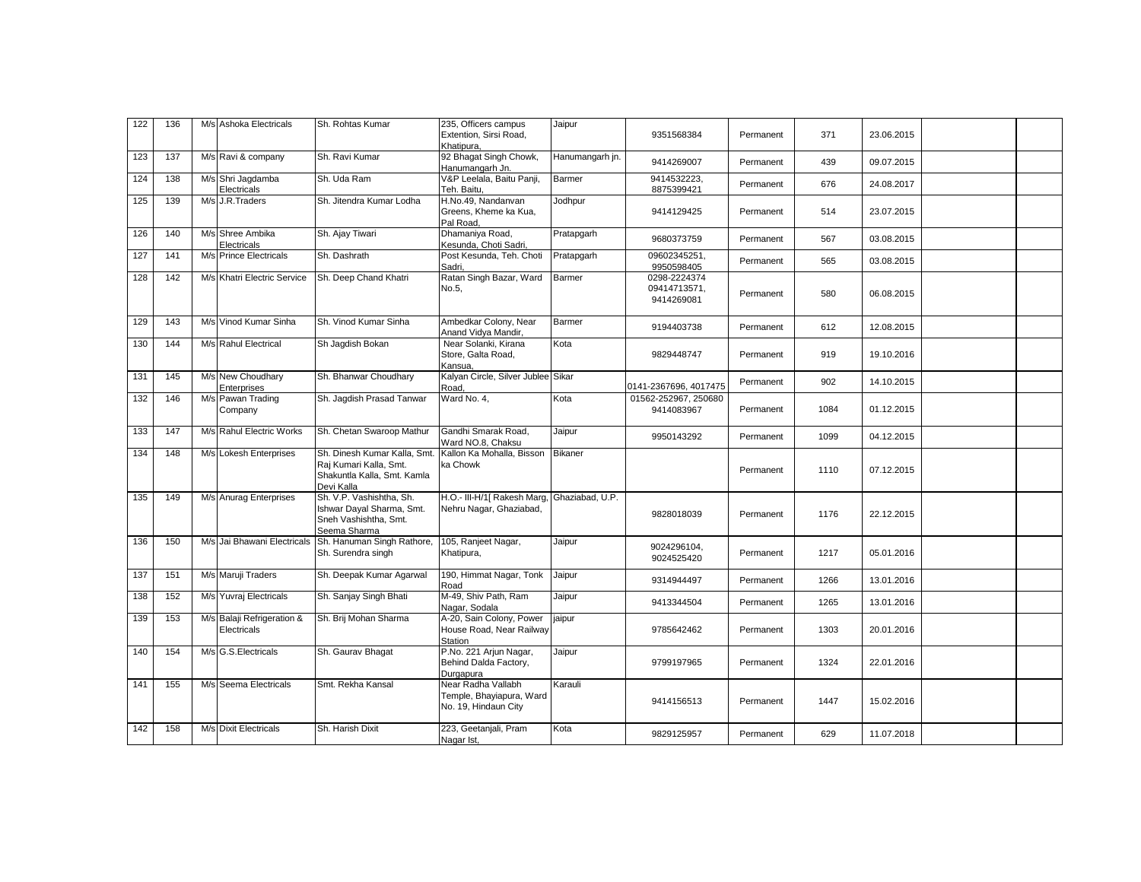| 122 | 136   | M/s Ashoka Electricals                    | Sh. Rohtas Kumar                                                                                   | 235, Officers campus<br>Extention, Sirsi Road,<br>Khatipura.           | Jaipur          | 9351568384                                 | Permanent | 371  | 23.06.2015 |  |
|-----|-------|-------------------------------------------|----------------------------------------------------------------------------------------------------|------------------------------------------------------------------------|-----------------|--------------------------------------------|-----------|------|------------|--|
| 123 | 137   | M/s Ravi & company                        | Sh. Ravi Kumar                                                                                     | 92 Bhagat Singh Chowk,<br>Hanumangarh Jn.                              | Hanumangarh jn. | 9414269007                                 | Permanent | 439  | 09.07.2015 |  |
| 124 | 138   | M/s Shri Jaqdamba<br>Electricals          | Sh. Uda Ram                                                                                        | V&P Leelala, Baitu Panji,<br>Teh. Baitu,                               | Barmer          | 9414532223.<br>8875399421                  | Permanent | 676  | 24.08.2017 |  |
| 125 | 139   | M/s J.R.Traders                           | Sh. Jitendra Kumar Lodha                                                                           | H.No.49, Nandanvan<br>Greens, Kheme ka Kua,<br>Pal Road.               | Jodhpur         | 9414129425                                 | Permanent | 514  | 23.07.2015 |  |
| 126 | 140   | M/s Shree Ambika<br>Electricals           | Sh. Ajay Tiwari                                                                                    | Dhamaniya Road,<br>Kesunda, Choti Sadri,                               | Pratapgarh      | 9680373759                                 | Permanent | 567  | 03.08.2015 |  |
| 127 | 141   | M/s Prince Electricals                    | Sh. Dashrath                                                                                       | Post Kesunda, Teh. Choti<br>Sadri.                                     | Pratapgarh      | 09602345251.<br>9950598405                 | Permanent | 565  | 03.08.2015 |  |
| 128 | 142   | M/s Khatri Electric Service               | Sh. Deep Chand Khatri                                                                              | Ratan Singh Bazar, Ward<br>No.5,                                       | Barmer          | 0298-2224374<br>09414713571,<br>9414269081 | Permanent | 580  | 06.08.2015 |  |
| 129 | 143   | M/s Vinod Kumar Sinha                     | Sh. Vinod Kumar Sinha                                                                              | Ambedkar Colony, Near<br>Anand Vidya Mandir,                           | Barmer          | 9194403738                                 | Permanent | 612  | 12.08.2015 |  |
| 130 | 144   | M/s Rahul Electrical                      | Sh Jagdish Bokan                                                                                   | Near Solanki, Kirana<br>Store, Galta Road,<br>Kansua.                  | Kota            | 9829448747                                 | Permanent | 919  | 19.10.2016 |  |
| 131 | $145$ | M/s New Choudhary<br>Enterprises          | Sh. Bhanwar Choudhary                                                                              | Kalyan Circle, Silver Jublee Sikar<br>Road,                            |                 | 0141-2367696, 4017475                      | Permanent | 902  | 14.10.2015 |  |
| 132 | 146   | M/s Pawan Trading<br>Company              | Sh. Jagdish Prasad Tanwar                                                                          | Ward No. 4,                                                            | Kota            | 01562-252967, 250680<br>9414083967         | Permanent | 1084 | 01.12.2015 |  |
| 133 | 147   | M/s Rahul Electric Works                  | Sh. Chetan Swaroop Mathur                                                                          | Gandhi Smarak Road.<br>Ward NO.8, Chaksu                               | Jaipur          | 9950143292                                 | Permanent | 1099 | 04.12.2015 |  |
| 134 | 148   | M/s Lokesh Enterprises                    | Sh. Dinesh Kumar Kalla, Smt<br>Raj Kumari Kalla, Smt.<br>Shakuntla Kalla, Smt. Kamla<br>Devi Kalla | Kallon Ka Mohalla, Bisson<br>ka Chowk                                  | Bikaner         |                                            | Permanent | 1110 | 07.12.2015 |  |
| 135 | 149   | M/s Anurag Enterprises                    | Sh. V.P. Vashishtha, Sh.<br>Ishwar Dayal Sharma, Smt.<br>Sneh Vashishtha, Smt.<br>Seema Sharma     | H.O.- III-H/1[ Rakesh Marg,<br>Nehru Nagar, Ghaziabad,                 | Ghaziabad, U.P. | 9828018039                                 | Permanent | 1176 | 22.12.2015 |  |
| 136 | 150   | M/s Jai Bhawani Electricals               | Sh. Hanuman Singh Rathore,<br>Sh. Surendra singh                                                   | 105, Ranjeet Nagar,<br>Khatipura,                                      | Jaipur          | 9024296104,<br>9024525420                  | Permanent | 1217 | 05.01.2016 |  |
| 137 | 151   | M/s Maruji Traders                        | Sh. Deepak Kumar Agarwal                                                                           | 190, Himmat Nagar, Tonk<br>Road                                        | Jaipur          | 9314944497                                 | Permanent | 1266 | 13.01.2016 |  |
| 138 | 152   | M/s Yuvraj Electricals                    | Sh. Sanjay Singh Bhati                                                                             | M-49, Shiv Path, Ram<br>Nagar, Sodala                                  | Jaipur          | 9413344504                                 | Permanent | 1265 | 13.01.2016 |  |
| 139 | 153   | M/s Balaji Refrigeration &<br>Electricals | Sh. Brij Mohan Sharma                                                                              | A-20, Sain Colony, Power<br>House Road, Near Railway<br>Station        | jaipur          | 9785642462                                 | Permanent | 1303 | 20.01.2016 |  |
| 140 | 154   | M/s G.S. Electricals                      | Sh. Gaurav Bhagat                                                                                  | P.No. 221 Arjun Nagar,<br>Behind Dalda Factory,<br>Durgapura           | Jaipur          | 9799197965                                 | Permanent | 1324 | 22.01.2016 |  |
| 141 | 155   | M/s Seema Electricals                     | Smt. Rekha Kansal                                                                                  | Near Radha Vallabh<br>Temple, Bhayiapura, Ward<br>No. 19, Hindaun City | Karauli         | 9414156513                                 | Permanent | 1447 | 15.02.2016 |  |
| 142 | 158   | M/s Dixit Electricals                     | Sh. Harish Dixit                                                                                   | 223, Geetanjali, Pram<br>Nagar Ist,                                    | Kota            | 9829125957                                 | Permanent | 629  | 11.07.2018 |  |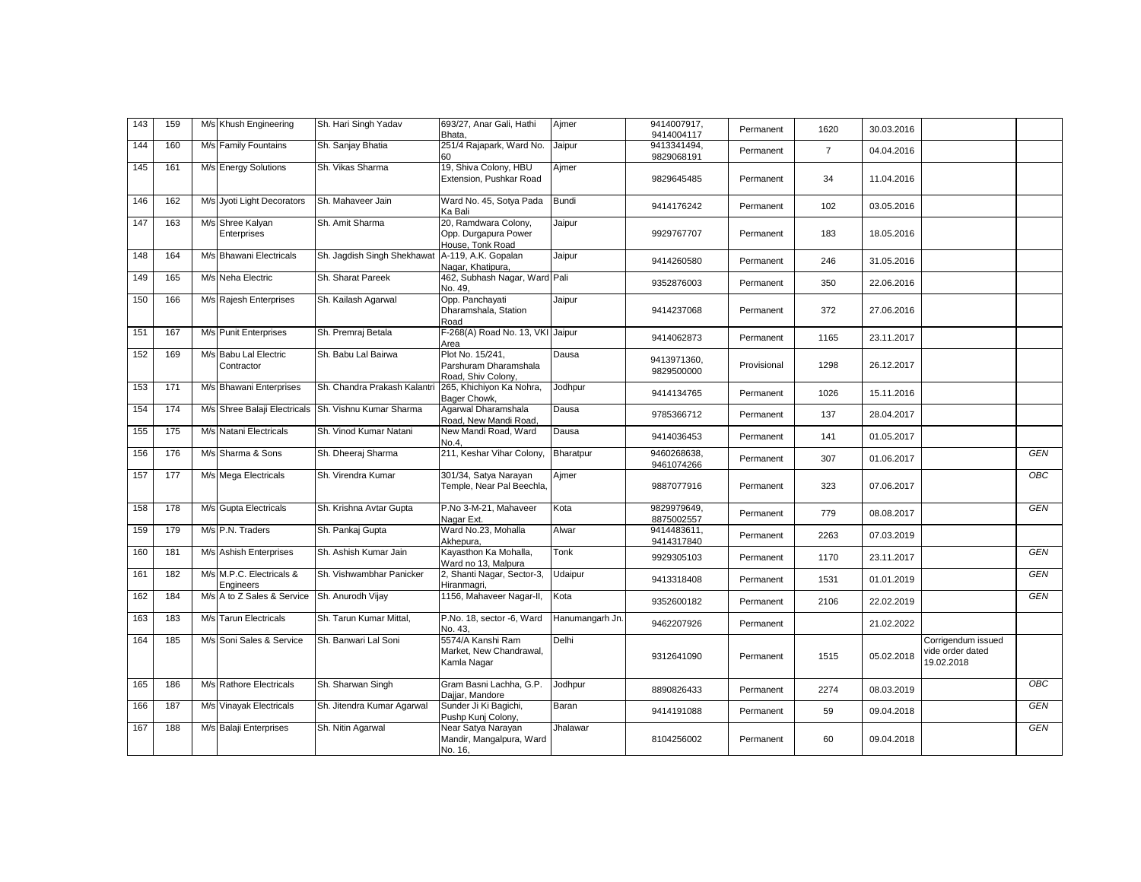| 143 | 159 | M/s Khush Engineering                 | Sh. Hari Singh Yadav                                 | 693/27, Anar Gali, Hathi<br>Bhata.                               | Ajmer           | 9414007917,<br>9414004117 | Permanent   | 1620           | 30.03.2016 |                                                      |            |
|-----|-----|---------------------------------------|------------------------------------------------------|------------------------------------------------------------------|-----------------|---------------------------|-------------|----------------|------------|------------------------------------------------------|------------|
| 144 | 160 | M/s Family Fountains                  | Sh. Sanjay Bhatia                                    | 251/4 Rajapark, Ward No.<br>60                                   | Jaipur          | 9413341494,<br>9829068191 | Permanent   | $\overline{7}$ | 04.04.2016 |                                                      |            |
| 145 | 161 | M/s Energy Solutions                  | Sh. Vikas Sharma                                     | 19, Shiva Colony, HBU<br>Extension, Pushkar Road                 | Ajmer           | 9829645485                | Permanent   | 34             | 11.04.2016 |                                                      |            |
| 146 | 162 | M/s Jyoti Light Decorators            | Sh. Mahaveer Jain                                    | Ward No. 45, Sotya Pada<br>Ka Bali                               | <b>Bundi</b>    | 9414176242                | Permanent   | 102            | 03.05.2016 |                                                      |            |
| 147 | 163 | M/s Shree Kalyan<br>Enterprises       | Sh. Amit Sharma                                      | 20, Ramdwara Colony,<br>Opp. Durgapura Power<br>House, Tonk Road | Jaipur          | 9929767707                | Permanent   | 183            | 18.05.2016 |                                                      |            |
| 148 | 164 | M/s Bhawani Electricals               | Sh. Jaqdish Singh Shekhawat A-119, A.K. Gopalan      | Nagar, Khatipura,                                                | Jaipur          | 9414260580                | Permanent   | 246            | 31.05.2016 |                                                      |            |
| 149 | 165 | M/s Neha Electric                     | Sh. Sharat Pareek                                    | 462, Subhash Nagar, Ward Pali<br>No. 49.                         |                 | 9352876003                | Permanent   | 350            | 22.06.2016 |                                                      |            |
| 150 | 166 | M/s Rajesh Enterprises                | Sh. Kailash Agarwal                                  | Opp. Panchayati<br>Dharamshala, Station<br>Road                  | Jaipur          | 9414237068                | Permanent   | 372            | 27.06.2016 |                                                      |            |
| 151 | 167 | M/s Punit Enterprises                 | Sh. Premraj Betala                                   | F-268(A) Road No. 13, VKI Jaipur<br>Area                         |                 | 9414062873                | Permanent   | 1165           | 23.11.2017 |                                                      |            |
| 152 | 169 | M/s Babu Lal Electric<br>Contractor   | Sh. Babu Lal Bairwa                                  | Plot No. 15/241.<br>Parshuram Dharamshala<br>Road, Shiv Colony,  | Dausa           | 9413971360,<br>9829500000 | Provisional | 1298           | 26.12.2017 |                                                      |            |
| 153 | 171 | M/s Bhawani Enterprises               | Sh. Chandra Prakash Kalantr                          | 265, Khichiyon Ka Nohra,<br>Bager Chowk,                         | Jodhpur         | 9414134765                | Permanent   | 1026           | 15.11.2016 |                                                      |            |
| 154 | 174 |                                       | M/s Shree Balaji Electricals Sh. Vishnu Kumar Sharma | Agarwal Dharamshala<br>Road, New Mandi Road,                     | Dausa           | 9785366712                | Permanent   | 137            | 28.04.2017 |                                                      |            |
| 155 | 175 | M/s Natani Electricals                | Sh. Vinod Kumar Natani                               | New Mandi Road, Ward<br>No.4.                                    | Dausa           | 9414036453                | Permanent   | 141            | 01.05.2017 |                                                      |            |
| 156 | 176 | M/s Sharma & Sons                     | Sh. Dheeraj Sharma                                   | 211, Keshar Vihar Colony,                                        | Bharatpur       | 9460268638,<br>9461074266 | Permanent   | 307            | 01.06.2017 |                                                      | <b>GEN</b> |
| 157 | 177 | M/s Mega Electricals                  | Sh. Virendra Kumar                                   | 301/34, Satya Narayan<br>Temple, Near Pal Beechla,               | Ajmer           | 9887077916                | Permanent   | 323            | 07.06.2017 |                                                      | ОВС        |
| 158 | 178 | M/s Gupta Electricals                 | Sh. Krishna Avtar Gupta                              | P.No 3-M-21, Mahaveer<br>Nagar Ext.                              | Kota            | 9829979649,<br>8875002557 | Permanent   | 779            | 08.08.2017 |                                                      | GEN        |
| 159 | 179 | M/s P.N. Traders                      | Sh. Pankaj Gupta                                     | Ward No.23, Mohalla<br>Akhepura.                                 | Alwar           | 9414483611,<br>9414317840 | Permanent   | 2263           | 07.03.2019 |                                                      |            |
| 160 | 181 | M/s Ashish Enterprises                | Sh. Ashish Kumar Jain                                | Kayasthon Ka Mohalla,<br>Ward no 13, Malpura                     | Tonk            | 9929305103                | Permanent   | 1170           | 23.11.2017 |                                                      | <b>GEN</b> |
| 161 | 182 | M/s M.P.C. Electricals &<br>Engineers | Sh. Vishwambhar Panicker                             | 2, Shanti Nagar, Sector-3,<br>Hiranmagri,                        | Udaipur         | 9413318408                | Permanent   | 1531           | 01.01.2019 |                                                      | GEN        |
| 162 | 184 | M/s A to Z Sales & Service            | Sh. Anurodh Vijay                                    | 1156, Mahaveer Nagar-II,                                         | Kota            | 9352600182                | Permanent   | 2106           | 22.02.2019 |                                                      | GEN        |
| 163 | 183 | M/s Tarun Electricals                 | Sh. Tarun Kumar Mittal.                              | P.No. 18, sector -6, Ward<br>No. 43,                             | Hanumangarh Jn. | 9462207926                | Permanent   |                | 21.02.2022 |                                                      |            |
| 164 | 185 | M/s Soni Sales & Service              | Sh. Banwari Lal Soni                                 | 5574/A Kanshi Ram<br>Market, New Chandrawal,<br>Kamla Nagar      | Delhi           | 9312641090                | Permanent   | 1515           | 05.02.2018 | Corrigendum issued<br>vide order dated<br>19.02.2018 |            |
| 165 | 186 | M/s Rathore Electricals               | Sh. Sharwan Singh                                    | Gram Basni Lachha, G.P.<br>Dajjar, Mandore                       | Jodhpur         | 8890826433                | Permanent   | 2274           | 08.03.2019 |                                                      | OBC        |
| 166 | 187 | M/s Vinayak Electricals               | Sh. Jitendra Kumar Agarwal                           | Sunder Ji Ki Bagichi,<br>Pushp Kunj Colony,                      | Baran           | 9414191088                | Permanent   | 59             | 09.04.2018 |                                                      | GEN        |
| 167 | 188 | M/s Balaji Enterprises                | Sh. Nitin Agarwal                                    | Near Satya Narayan<br>Mandir, Mangalpura, Ward<br>No. 16,        | Jhalawar        | 8104256002                | Permanent   | 60             | 09.04.2018 |                                                      | <b>GEN</b> |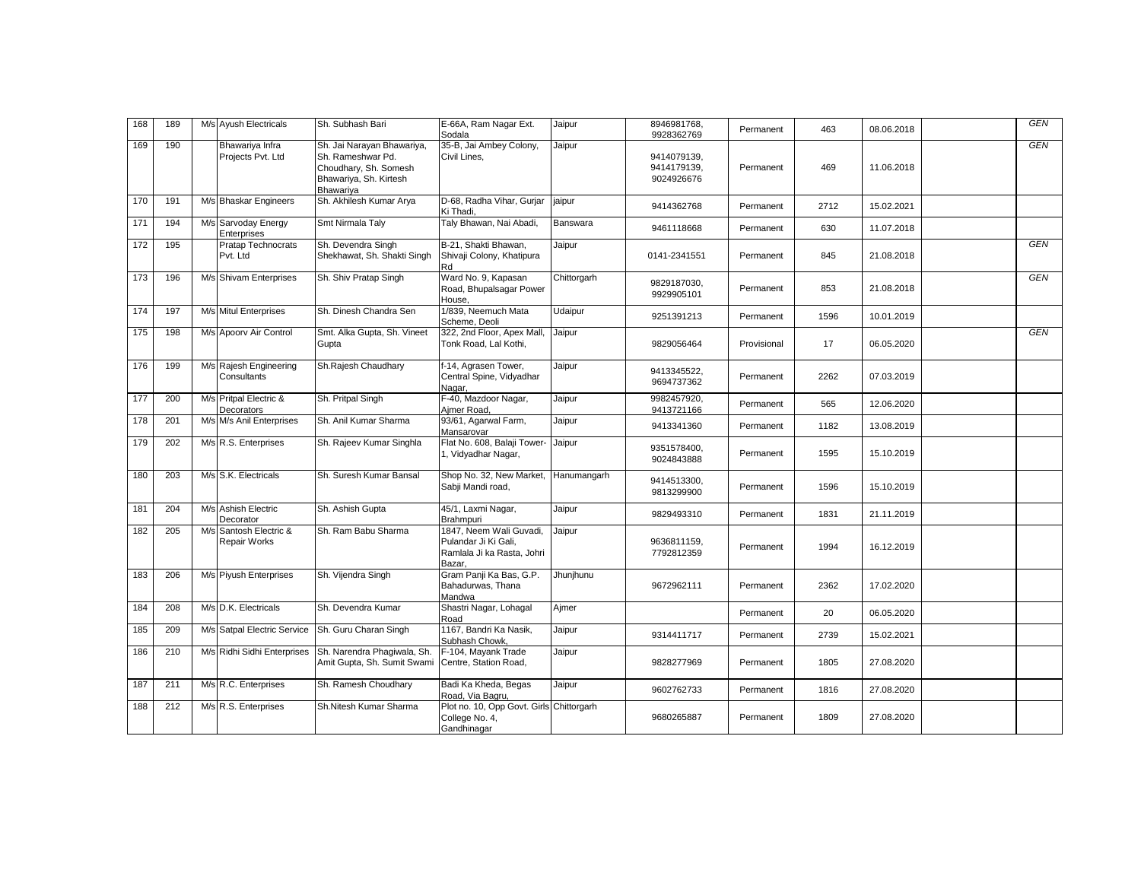| 168 | 189 | M/s Ayush Electricals                         | Sh. Subhash Bari                                                                                                       | E-66A, Ram Nagar Ext.<br>Sodala                                                         | Jaipur      | 8946981768,<br>9928362769                | Permanent   | 463  | 08.06.2018 | <b>GEN</b> |
|-----|-----|-----------------------------------------------|------------------------------------------------------------------------------------------------------------------------|-----------------------------------------------------------------------------------------|-------------|------------------------------------------|-------------|------|------------|------------|
| 169 | 190 | Bhawariya Infra<br>Projects Pvt. Ltd          | Sh. Jai Narayan Bhawariya,<br>Sh. Rameshwar Pd.<br>Choudhary, Sh. Somesh<br>Bhawariya, Sh. Kirtesh<br><b>Bhawariva</b> | 35-B, Jai Ambey Colony,<br>Civil Lines,                                                 | Jaipur      | 9414079139,<br>9414179139,<br>9024926676 | Permanent   | 469  | 11.06.2018 | <b>GEN</b> |
| 170 | 191 | M/s Bhaskar Engineers                         | Sh. Akhilesh Kumar Arya                                                                                                | D-68, Radha Vihar, Gurjar<br>Ki Thadi,                                                  | jaipur      | 9414362768                               | Permanent   | 2712 | 15.02.2021 |            |
| 171 | 194 | M/s Sarvoday Energy<br>Enterprises            | Smt Nirmala Taly                                                                                                       | Taly Bhawan, Nai Abadi,                                                                 | Banswara    | 9461118668                               | Permanent   | 630  | 11.07.2018 |            |
| 172 | 195 | Pratap Technocrats<br>Pvt. Ltd                | Sh. Devendra Singh<br>Shekhawat, Sh. Shakti Singh                                                                      | B-21, Shakti Bhawan,<br>Shivaji Colony, Khatipura<br>Rd                                 | Jaipur      | 0141-2341551                             | Permanent   | 845  | 21.08.2018 | <b>GEN</b> |
| 173 | 196 | M/s Shivam Enterprises                        | Sh. Shiv Pratap Singh                                                                                                  | Ward No. 9, Kapasan<br>Road, Bhupalsagar Power<br>House,                                | Chittorgarh | 9829187030,<br>9929905101                | Permanent   | 853  | 21.08.2018 | <b>GEN</b> |
| 174 | 197 | M/s Mitul Enterprises                         | Sh. Dinesh Chandra Sen                                                                                                 | 1/839, Neemuch Mata<br>Scheme, Deoli                                                    | Udaipur     | 9251391213                               | Permanent   | 1596 | 10.01.2019 |            |
| 175 | 198 | M/s Apoorv Air Control                        | Smt. Alka Gupta, Sh. Vineet<br>Gupta                                                                                   | 322, 2nd Floor, Apex Mall,<br>Tonk Road, Lal Kothi,                                     | Jaipur      | 9829056464                               | Provisional | 17   | 06.05.2020 | GEN        |
| 176 | 199 | M/s Rajesh Engineering<br>Consultants         | Sh.Rajesh Chaudhary                                                                                                    | f-14, Agrasen Tower,<br>Central Spine, Vidyadhar<br>Nagar.                              | Jaipur      | 9413345522,<br>9694737362                | Permanent   | 2262 | 07.03.2019 |            |
| 177 | 200 | M/s Pritpal Electric &<br>Decorators          | Sh. Pritpal Singh                                                                                                      | F-40, Mazdoor Nagar,<br>Ajmer Road,                                                     | Jaipur      | 9982457920.<br>9413721166                | Permanent   | 565  | 12.06.2020 |            |
| 178 | 201 | M/s M/s Anil Enterprises                      | Sh. Anil Kumar Sharma                                                                                                  | 93/61, Agarwal Farm,<br>Mansarovar                                                      | Jaipur      | 9413341360                               | Permanent   | 1182 | 13.08.2019 |            |
| 179 | 202 | M/s R.S. Enterprises                          | Sh. Rajeev Kumar Singhla                                                                                               | Flat No. 608, Balaji Tower-<br>1, Vidyadhar Nagar,                                      | Jaipur      | 9351578400,<br>9024843888                | Permanent   | 1595 | 15.10.2019 |            |
| 180 | 203 | M/s S.K. Electricals                          | Sh. Suresh Kumar Bansal                                                                                                | Shop No. 32, New Market,<br>Sabji Mandi road,                                           | Hanumangarh | 9414513300,<br>9813299900                | Permanent   | 1596 | 15.10.2019 |            |
| 181 | 204 | M/s Ashish Electric<br>Decorator              | Sh. Ashish Gupta                                                                                                       | 45/1, Laxmi Nagar,<br><b>Brahmpuri</b>                                                  | Jaipur      | 9829493310                               | Permanent   | 1831 | 21.11.2019 |            |
| 182 | 205 | M/s Santosh Electric &<br><b>Repair Works</b> | Sh. Ram Babu Sharma                                                                                                    | 1847, Neem Wali Guvadi,<br>Pulandar Ji Ki Gali,<br>Ramlala Ji ka Rasta, Johri<br>Bazar, | Jaipur      | 9636811159,<br>7792812359                | Permanent   | 1994 | 16.12.2019 |            |
| 183 | 206 | M/s Piyush Enterprises                        | Sh. Vijendra Singh                                                                                                     | Gram Panji Ka Bas, G.P.<br>Bahadurwas, Thana<br>Mandwa                                  | Jhunjhunu   | 9672962111                               | Permanent   | 2362 | 17.02.2020 |            |
| 184 | 208 | M/s D.K. Electricals                          | Sh. Devendra Kumar                                                                                                     | Shastri Nagar, Lohagal<br>Road                                                          | Aimer       |                                          | Permanent   | 20   | 06.05.2020 |            |
| 185 | 209 | M/s Satpal Electric Service                   | Sh. Guru Charan Singh                                                                                                  | 1167, Bandri Ka Nasik,<br>Subhash Chowk.                                                | Jaipur      | 9314411717                               | Permanent   | 2739 | 15.02.2021 |            |
| 186 | 210 | M/s Ridhi Sidhi Enterprises                   | Sh. Narendra Phagiwala, Sh.<br>Amit Gupta, Sh. Sumit Swami                                                             | F-104, Mayank Trade<br>Centre, Station Road,                                            | Jaipur      | 9828277969                               | Permanent   | 1805 | 27.08.2020 |            |
| 187 | 211 | M/s R.C. Enterprises                          | Sh. Ramesh Choudhary                                                                                                   | Badi Ka Kheda, Begas<br>Road, Via Bagru,                                                | Jaipur      | 9602762733                               | Permanent   | 1816 | 27.08.2020 |            |
| 188 | 212 | M/s R.S. Enterprises                          | Sh.Nitesh Kumar Sharma                                                                                                 | Plot no. 10, Opp Govt. Girls Chittorgarh<br>College No. 4,<br>Gandhinagar               |             | 9680265887                               | Permanent   | 1809 | 27.08.2020 |            |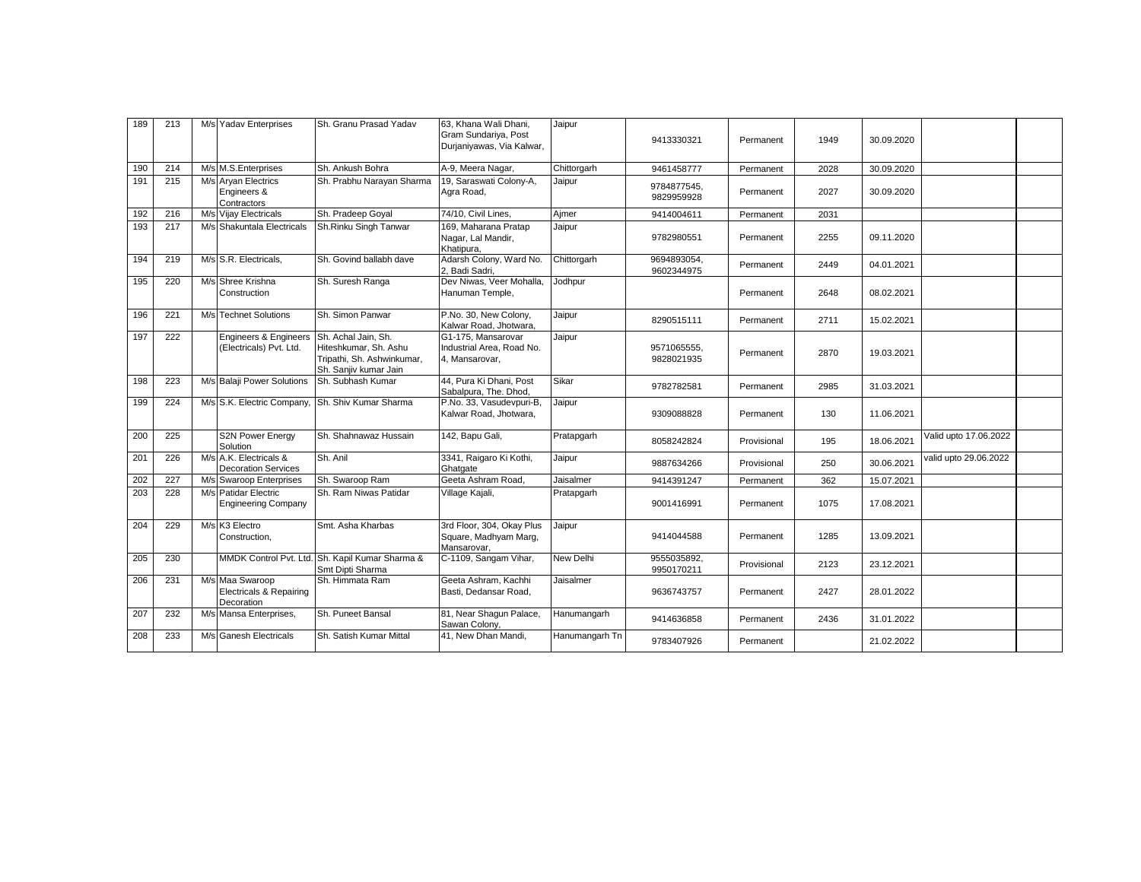| 189 | 213 | M/s Yadav Enterprises                                               | Sh. Granu Prasad Yadav                                                                              | 63. Khana Wali Dhani.<br>Gram Sundariya, Post<br>Durjaniyawas, Via Kalwar, | Jaipur           | 9413330321                | Permanent   | 1949 | 30.09.2020 |                       |  |
|-----|-----|---------------------------------------------------------------------|-----------------------------------------------------------------------------------------------------|----------------------------------------------------------------------------|------------------|---------------------------|-------------|------|------------|-----------------------|--|
| 190 | 214 | M/s M.S.Enterprises                                                 | Sh. Ankush Bohra                                                                                    | A-9, Meera Nagar,                                                          | Chittorgarh      | 9461458777                | Permanent   | 2028 | 30.09.2020 |                       |  |
| 191 | 215 | M/s Aryan Electrics<br>Engineers &<br>Contractors                   | Sh. Prabhu Narayan Sharma                                                                           | 19, Saraswati Colony-A,<br>Agra Road,                                      | Jaipur           | 9784877545.<br>9829959928 | Permanent   | 2027 | 30.09.2020 |                       |  |
| 192 | 216 | M/s Vijay Electricals                                               | Sh. Pradeep Goyal                                                                                   | 74/10, Civil Lines,                                                        | Aimer            | 9414004611                | Permanent   | 2031 |            |                       |  |
| 193 | 217 | M/s Shakuntala Electricals                                          | Sh.Rinku Singh Tanwar                                                                               | 169, Maharana Pratap<br>Nagar, Lal Mandir,<br>Khatipura,                   | Jaipur           | 9782980551                | Permanent   | 2255 | 09.11.2020 |                       |  |
| 194 | 219 | M/s S.R. Electricals.                                               | Sh. Govind ballabh dave                                                                             | Adarsh Colony, Ward No.<br>2. Badi Sadri.                                  | Chittorgarh      | 9694893054.<br>9602344975 | Permanent   | 2449 | 04.01.2021 |                       |  |
| 195 | 220 | M/s Shree Krishna<br>Construction                                   | Sh. Suresh Ranga                                                                                    | Dev Niwas, Veer Mohalla,<br>Hanuman Temple,                                | Jodhpur          |                           | Permanent   | 2648 | 08.02.2021 |                       |  |
| 196 | 221 | M/s Technet Solutions                                               | Sh. Simon Panwar                                                                                    | P.No. 30, New Colony,<br>Kalwar Road, Jhotwara,                            | Jaipur           | 8290515111                | Permanent   | 2711 | 15.02.2021 |                       |  |
| 197 | 222 | <b>Engineers &amp; Engineers</b><br>(Electricals) Pvt. Ltd.         | Sh. Achal Jain, Sh.<br>Hiteshkumar, Sh. Ashu<br>Tripathi, Sh. Ashwinkumar,<br>Sh. Sanjiv kumar Jain | G1-175. Mansarovar<br>Industrial Area, Road No.<br>4, Mansarovar,          | Jaipur           | 9571065555.<br>9828021935 | Permanent   | 2870 | 19.03.2021 |                       |  |
| 198 | 223 | M/s Balaji Power Solutions                                          | Sh. Subhash Kumar                                                                                   | 44, Pura Ki Dhani, Post<br>Sabalpura, The. Dhod,                           | Sikar            | 9782782581                | Permanent   | 2985 | 31.03.2021 |                       |  |
| 199 | 224 | M/s S.K. Electric Company,                                          | Sh. Shiv Kumar Sharma                                                                               | P.No. 33, Vasudevpuri-B,<br>Kalwar Road, Jhotwara,                         | Jaipur           | 9309088828                | Permanent   | 130  | 11.06.2021 |                       |  |
| 200 | 225 | S2N Power Energy<br>Solution                                        | Sh. Shahnawaz Hussain                                                                               | 142, Bapu Gali,                                                            | Pratapgarh       | 8058242824                | Provisional | 195  | 18.06.2021 | Valid upto 17.06.2022 |  |
| 201 | 226 | M/s A.K. Electricals &<br><b>Decoration Services</b>                | Sh. Anil                                                                                            | 3341, Raigaro Ki Kothi,<br>Ghatgate                                        | Jaipur           | 9887634266                | Provisional | 250  | 30.06.2021 | valid upto 29.06.2022 |  |
| 202 | 227 | M/s Swaroop Enterprises                                             | Sh. Swaroop Ram                                                                                     | Geeta Ashram Road,                                                         | Jaisalmer        | 9414391247                | Permanent   | 362  | 15.07.2021 |                       |  |
| 203 | 228 | M/s Patidar Electric<br><b>Engineering Company</b>                  | Sh. Ram Niwas Patidar                                                                               | Village Kajali,                                                            | Pratapgarh       | 9001416991                | Permanent   | 1075 | 17.08.2021 |                       |  |
| 204 | 229 | M/s K3 Electro<br>Construction.                                     | Smt. Asha Kharbas                                                                                   | 3rd Floor, 304, Okay Plus<br>Square, Madhyam Marg,<br>Mansarovar,          | Jaipur           | 9414044588                | Permanent   | 1285 | 13.09.2021 |                       |  |
| 205 | 230 |                                                                     | MMDK Control Pvt. Ltd. Sh. Kapil Kumar Sharma &<br>Smt Dipti Sharma                                 | C-1109, Sangam Vihar,                                                      | <b>New Delhi</b> | 9555035892,<br>9950170211 | Provisional | 2123 | 23.12.2021 |                       |  |
| 206 | 231 | M/s Maa Swaroop<br><b>Electricals &amp; Repairing</b><br>Decoration | Sh. Himmata Ram                                                                                     | Geeta Ashram, Kachhi<br>Basti, Dedansar Road.                              | Jaisalmer        | 9636743757                | Permanent   | 2427 | 28.01.2022 |                       |  |
| 207 | 232 | M/s Mansa Enterprises,                                              | Sh. Puneet Bansal                                                                                   | 81, Near Shagun Palace,<br>Sawan Colony,                                   | Hanumangarh      | 9414636858                | Permanent   | 2436 | 31.01.2022 |                       |  |
| 208 | 233 | M/s Ganesh Electricals                                              | Sh. Satish Kumar Mittal                                                                             | 41, New Dhan Mandi,                                                        | Hanumangarh Tn   | 9783407926                | Permanent   |      | 21.02.2022 |                       |  |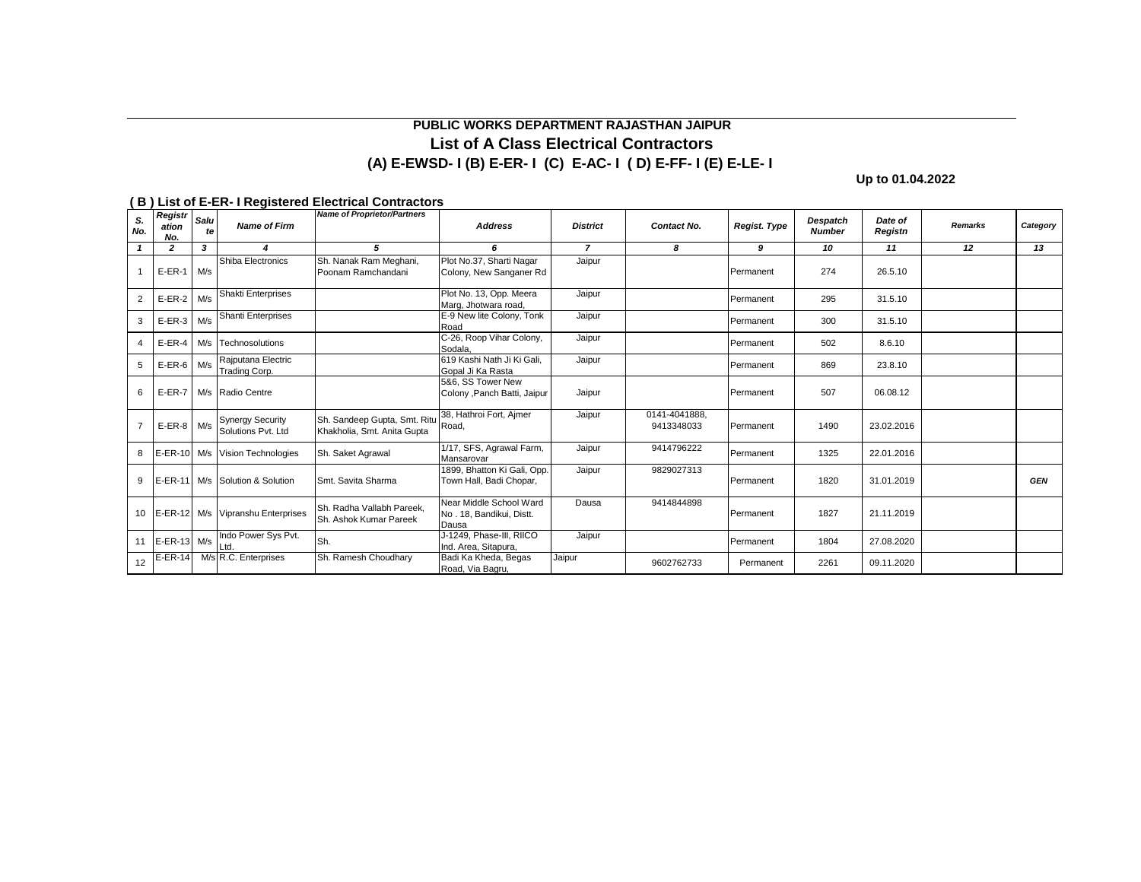# **List of A Class Electrical Contractors (A) E-EWSD- I (B) E-ER- I (C) E-AC- I ( D) E-FF- I (E) E-LE- I PUBLIC WORKS DEPARTMENT RAJASTHAN JAIPUR**

**Up to 01.04.2022**

| S.<br>No.      | Registr<br>ation<br>No. | Salu<br>fe | Name of Firm                                  | <b>Name of Proprietor/Partners</b>                                | <b>Address</b>                                               | <b>District</b> | Contact No.                 | Regist. Type | Despatch<br><b>Number</b> | Date of<br>Registn | Remarks | Category   |
|----------------|-------------------------|------------|-----------------------------------------------|-------------------------------------------------------------------|--------------------------------------------------------------|-----------------|-----------------------------|--------------|---------------------------|--------------------|---------|------------|
|                | $\overline{2}$          | 3          | $\boldsymbol{4}$                              | 5                                                                 | 6                                                            | $\overline{z}$  | 8                           | 9            | 10                        | 11                 | 12      | 13         |
|                | $E-ER-1$                | M/s        | Shiba Electronics                             | Sh. Nanak Ram Meghani,<br>Poonam Ramchandani                      | Plot No.37, Sharti Nagar<br>Colony, New Sanganer Rd          | Jaipur          |                             | Permanent    | 274                       | 26.5.10            |         |            |
| $\overline{2}$ | $E-ER-2$ M/s            |            | <b>Shakti Enterprises</b>                     |                                                                   | Plot No. 13, Opp. Meera<br>Marg, Jhotwara road,              | Jaipur          |                             | Permanent    | 295                       | 31.5.10            |         |            |
| 3              | $E-ER-3$                | M/s        | Shanti Enterprises                            |                                                                   | E-9 New lite Colony, Tonk<br>Road                            | Jaipur          |                             | Permanent    | 300                       | 31.5.10            |         |            |
| 4              | $E$ -ER-4               |            | M/s Technosolutions                           |                                                                   | C-26, Roop Vihar Colony,<br>Sodala.                          | Jaipur          |                             | Permanent    | 502                       | 8.6.10             |         |            |
| 5              | $E-ER-6$ M/s            |            | Rajputana Electric<br>Trading Corp.           |                                                                   | 619 Kashi Nath Ji Ki Gali.<br>Gopal Ji Ka Rasta              | Jaipur          |                             | Permanent    | 869                       | 23.8.10            |         |            |
| 6              | $E-ER-7$                |            | M/s Radio Centre                              |                                                                   | 5&6, SS Tower New<br>Colony , Panch Batti, Jaipur            | Jaipur          |                             | Permanent    | 507                       | 06.08.12           |         |            |
|                | $E-ER-8$ M/s            |            | <b>Synergy Security</b><br>Solutions Pvt. Ltd | Sh. Sandeep Gupta, Smt. Ritu Road,<br>Khakholia, Smt. Anita Gupta | 38, Hathroi Fort, Aimer                                      | Jaipur          | 0141-4041888.<br>9413348033 | Permanent    | 1490                      | 23.02.2016         |         |            |
| 8              |                         |            | E-ER-10 M/s Vision Technologies               | Sh. Saket Agrawal                                                 | 1/17, SFS, Agrawal Farm,<br>Mansarovar                       | Jaipur          | 9414796222                  | Permanent    | 1325                      | 22.01.2016         |         |            |
| 9              |                         |            | E-ER-11 M/s Solution & Solution               | Smt. Savita Sharma                                                | 1899, Bhatton Ki Gali, Opp.<br>Town Hall, Badi Chopar,       | Jaipur          | 9829027313                  | Permanent    | 1820                      | 31.01.2019         |         | <b>GEN</b> |
| 10             |                         |            | E-ER-12 M/s Vipranshu Enterprises             | Sh. Radha Vallabh Pareek.<br>Sh. Ashok Kumar Pareek               | Near Middle School Ward<br>No. 18, Bandikui, Distt.<br>Dausa | Dausa           | 9414844898                  | Permanent    | 1827                      | 21.11.2019         |         |            |
| 11             | E-ER-13 M/s             |            | Indo Power Sys Pvt.<br>l td                   | Sh.                                                               | J-1249, Phase-III, RIICO<br>Ind. Area, Sitapura,             | Jaipur          |                             | Permanent    | 1804                      | 27.08.2020         |         |            |
| 12             | $E-ER-14$               |            | M/s R.C. Enterprises                          | Sh. Ramesh Choudhary                                              | Badi Ka Kheda, Begas<br>Road, Via Bagru,                     | Jaipur          | 9602762733                  | Permanent    | 2261                      | 09.11.2020         |         |            |

#### **( B ) List of E-ER- I Registered Electrical Contractors**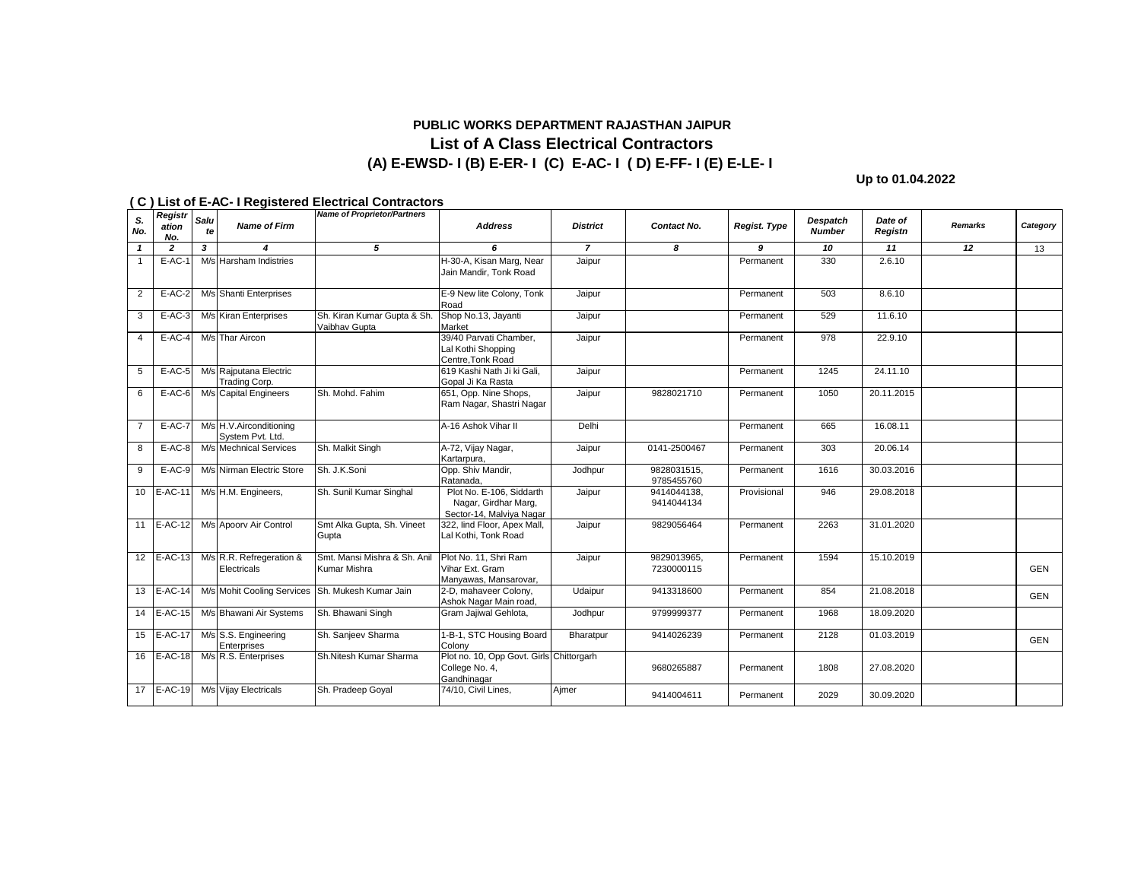### **(A) E-EWSD- I (B) E-ER- I (C) E-AC- I ( D) E-FF- I (E) E-LE- I PUBLIC WORKS DEPARTMENT RAJASTHAN JAIPUR List of A Class Electrical Contractors**

**Up to 01.04.2022**

|                | Registr        |            |                                             | <b>Name of Proprietor/Partners</b>               |                                                                              |                 |                           |              |                           |                    |         |            |
|----------------|----------------|------------|---------------------------------------------|--------------------------------------------------|------------------------------------------------------------------------------|-----------------|---------------------------|--------------|---------------------------|--------------------|---------|------------|
| S.<br>No.      | ation<br>No.   | Salu<br>te | <b>Name of Firm</b>                         |                                                  | <b>Address</b>                                                               | <b>District</b> | Contact No.               | Regist. Type | Despatch<br><b>Number</b> | Date of<br>Registn | Remarks | Category   |
| $\mathbf{1}$   | $\overline{2}$ | 3          | 4                                           | 5                                                | 6                                                                            | $\overline{7}$  | 8                         | 9            | 10                        | 11                 | 12      | 13         |
| $\overline{1}$ | $E-AC-1$       |            | M/s Harsham Indistries                      |                                                  | H-30-A, Kisan Marg, Near<br>Jain Mandir, Tonk Road                           | Jaipur          |                           | Permanent    | 330                       | 2.6.10             |         |            |
| 2              | $E-AC-2$       |            | M/s Shanti Enterprises                      |                                                  | E-9 New lite Colony, Tonk<br>Road                                            | Jaipur          |                           | Permanent    | 503                       | 8.6.10             |         |            |
| 3              | $E-AC-3$       |            | M/s Kiran Enterprises                       | Sh. Kiran Kumar Gupta & Sh.<br>Vaibhav Gupta     | Shop No.13, Jayanti<br>Market                                                | Jaipur          |                           | Permanent    | 529                       | 11.6.10            |         |            |
| $\overline{4}$ | $E-AC-4$       |            | M/s Thar Aircon                             |                                                  | 39/40 Parvati Chamber,<br>Lal Kothi Shopping<br>Centre, Tonk Road            | Jaipur          |                           | Permanent    | 978                       | 22.9.10            |         |            |
| 5              | $E-AC-5$       |            | M/s Rajputana Electric<br>Trading Corp.     |                                                  | 619 Kashi Nath Ji ki Gali.<br>Gopal Ji Ka Rasta                              | Jaipur          |                           | Permanent    | 1245                      | 24.11.10           |         |            |
| 6              | $E-AC-6$       |            | M/s Capital Engineers                       | Sh. Mohd. Fahim                                  | 651, Opp. Nine Shops,<br>Ram Nagar, Shastri Nagar                            | Jaipur          | 9828021710                | Permanent    | 1050                      | 20.11.2015         |         |            |
| $\overline{7}$ | <b>E-AC-7</b>  |            | M/s H.V.Airconditioning<br>System Pvt. Ltd. |                                                  | A-16 Ashok Vihar II                                                          | Delhi           |                           | Permanent    | 665                       | 16.08.11           |         |            |
| 8              | $E-AC-8$       |            | M/s Mechnical Services                      | Sh. Malkit Singh                                 | A-72, Vijay Nagar,<br>Kartarpura,                                            | Jaipur          | 0141-2500467              | Permanent    | 303                       | 20.06.14           |         |            |
| 9              | $E-AC-9$       |            | M/s Nirman Electric Store                   | Sh. J.K.Soni                                     | Opp. Shiv Mandir,<br>Ratanada.                                               | Jodhpur         | 9828031515.<br>9785455760 | Permanent    | 1616                      | 30.03.2016         |         |            |
|                | 10 E-AC-11     |            | M/s H.M. Engineers,                         | Sh. Sunil Kumar Singhal                          | Plot No. E-106, Siddarth<br>Nagar, Girdhar Marg,<br>Sector-14, Malviya Nagar | Jaipur          | 9414044138,<br>9414044134 | Provisional  | 946                       | 29.08.2018         |         |            |
|                | $11$ E-AC-12   |            | M/s Apoorv Air Control                      | Smt Alka Gupta, Sh. Vineet<br>Gupta              | 322, lind Floor, Apex Mall,<br>Lal Kothi, Tonk Road                          | Jaipur          | 9829056464                | Permanent    | 2263                      | 31.01.2020         |         |            |
|                | 12 E-AC-13     |            | M/s R.R. Refregeration &<br>Electricals     | Smt. Mansi Mishra & Sh. Anil<br>Kumar Mishra     | Plot No. 11, Shri Ram<br>Vihar Ext. Gram<br>Manyawas, Mansarovar,            | Jaipur          | 9829013965,<br>7230000115 | Permanent    | 1594                      | 15.10.2019         |         | <b>GEN</b> |
|                | 13 E-AC-14     |            |                                             | M/s Mohit Cooling Services Sh. Mukesh Kumar Jain | 2-D, mahaveer Colony,<br>Ashok Nagar Main road,                              | Udaipur         | 9413318600                | Permanent    | 854                       | 21.08.2018         |         | <b>GEN</b> |
|                | 14 E-AC-15     |            | M/s Bhawani Air Systems                     | Sh. Bhawani Singh                                | Gram Jajiwal Gehlota,                                                        | Jodhpur         | 9799999377                | Permanent    | 1968                      | 18.09.2020         |         |            |
|                | 15 E-AC-17     |            | M/s S.S. Engineering<br>Enterprises         | Sh. Sanjeev Sharma                               | 1-B-1, STC Housing Board<br>Colony                                           | Bharatpur       | 9414026239                | Permanent    | 2128                      | 01.03.2019         |         | <b>GEN</b> |
| 16             | <b>E-AC-18</b> |            | M/s R.S. Enterprises                        | Sh.Nitesh Kumar Sharma                           | Plot no. 10, Opp Govt. Girls Chittorgarh<br>College No. 4,<br>Gandhinagar    |                 | 9680265887                | Permanent    | 1808                      | 27.08.2020         |         |            |
|                | 17 E-AC-19     |            | M/s Vijay Electricals                       | Sh. Pradeep Goyal                                | 74/10, Civil Lines,                                                          | Ajmer           | 9414004611                | Permanent    | 2029                      | 30.09.2020         |         |            |

#### **( C ) List of E-AC- I Registered Electrical Contractors**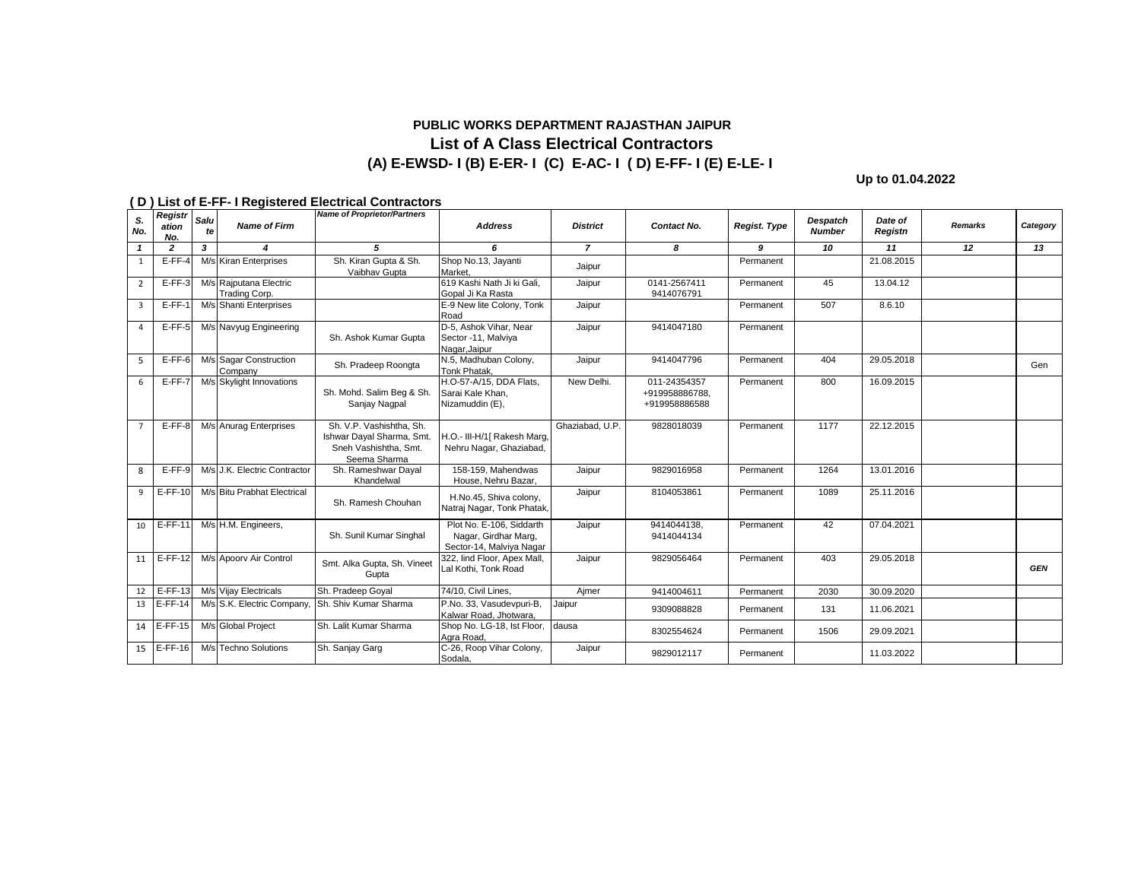## **PUBLIC WORKS DEPARTMENT RAJASTHAN JAIPUR List of A Class Electrical Contractors (A) E-EWSD- I (B) E-ER- I (C) E-AC- I ( D) E-FF- I (E) E-LE- I**

**Up to 01.04.2022**

|                | Registr        |                         |                                         | <b>Name of Proprietor/Partners</b>                                                             |                                                                              |                 |                                                 |                     |                           |                    |                |            |
|----------------|----------------|-------------------------|-----------------------------------------|------------------------------------------------------------------------------------------------|------------------------------------------------------------------------------|-----------------|-------------------------------------------------|---------------------|---------------------------|--------------------|----------------|------------|
| S.<br>No.      | ation<br>No.   | Salu<br>te              | <b>Name of Firm</b>                     |                                                                                                | <b>Address</b>                                                               | <b>District</b> | Contact No.                                     | <b>Regist. Type</b> | Despatch<br><b>Number</b> | Date of<br>Registn | <b>Remarks</b> | Category   |
| $\mathbf{1}$   | $\overline{2}$ | $\overline{\mathbf{3}}$ |                                         | 5                                                                                              | 6                                                                            | $\overline{7}$  | 8                                               | 9                   | 10                        | 11                 | 12             | 13         |
| 1              | $E-FF-4$       |                         | M/s Kiran Enterprises                   | Sh. Kiran Gupta & Sh.<br>Vaibhav Gupta                                                         | Shop No.13, Jayanti<br>Market.                                               | Jaipur          |                                                 | Permanent           |                           | 21.08.2015         |                |            |
| $\overline{2}$ | $E$ -FF-3      |                         | M/s Raiputana Electric<br>Trading Corp. |                                                                                                | 619 Kashi Nath Ji ki Gali.<br>Gopal Ji Ka Rasta                              | Jaipur          | 0141-2567411<br>9414076791                      | Permanent           | 45                        | 13.04.12           |                |            |
| 3              | $E-FF-1$       |                         | M/s Shanti Enterprises                  |                                                                                                | E-9 New lite Colony, Tonk<br>Road                                            | Jaipur          |                                                 | Permanent           | 507                       | 8.6.10             |                |            |
| 4              | $E$ -FF-5      |                         | M/s Navyug Engineering                  | Sh. Ashok Kumar Gupta                                                                          | D-5, Ashok Vihar, Near<br>Sector -11, Malviya<br>Nagar, Jaipur               | Jaipur          | 9414047180                                      | Permanent           |                           |                    |                |            |
| 5              | $E$ -FF-6      |                         | M/s Sagar Construction<br>Company       | Sh. Pradeep Roongta                                                                            | N.5, Madhuban Colony,<br>Tonk Phatak.                                        | Jaipur          | 9414047796                                      | Permanent           | 404                       | 29.05.2018         |                | Gen        |
| 6              | $E-FF-7$       |                         | M/s Skylight Innovations                | Sh. Mohd. Salim Beg & Sh.<br>Sanjay Nagpal                                                     | H.O-57-A/15. DDA Flats.<br>Sarai Kale Khan.<br>Nizamuddin (E),               | New Delhi.      | 011-24354357<br>+919958886788.<br>+919958886588 | Permanent           | 800                       | 16.09.2015         |                |            |
| $\overline{7}$ | $E$ -FF-8      |                         | M/s Anurag Enterprises                  | Sh. V.P. Vashishtha, Sh.<br>Ishwar Dayal Sharma, Smt.<br>Sneh Vashishtha, Smt.<br>Seema Sharma | H.O.- III-H/1[ Rakesh Marg,<br>Nehru Nagar, Ghaziabad,                       | Ghaziabad, U.P. | 9828018039                                      | Permanent           | 1177                      | 22.12.2015         |                |            |
| 8              | $E-FF-9$       |                         | M/s J.K. Electric Contractor            | Sh. Rameshwar Dayal<br>Khandelwal                                                              | 158-159. Mahendwas<br>House, Nehru Bazar,                                    | Jaipur          | 9829016958                                      | Permanent           | 1264                      | 13.01.2016         |                |            |
| 9              | $E$ -FF-10     |                         | M/s Bitu Prabhat Electrical             | Sh. Ramesh Chouhan                                                                             | H.No.45, Shiva colony,<br>Natraj Nagar, Tonk Phatak,                         | Jaipur          | 8104053861                                      | Permanent           | 1089                      | 25.11.2016         |                |            |
| 10             | $E-FF-11$      |                         | M/s H.M. Engineers,                     | Sh. Sunil Kumar Singhal                                                                        | Plot No. E-106, Siddarth<br>Nagar, Girdhar Marg,<br>Sector-14, Malviya Nagar | Jaipur          | 9414044138,<br>9414044134                       | Permanent           | 42                        | 07.04.2021         |                |            |
|                | $11$ E-FF-12   |                         | M/s Apoorv Air Control                  | Smt. Alka Gupta, Sh. Vineet<br>Gupta                                                           | 322, lind Floor, Apex Mall,<br>Lal Kothi, Tonk Road                          | Jaipur          | 9829056464                                      | Permanent           | 403                       | 29.05.2018         |                | <b>GEN</b> |
|                | 12 E-FF-13     |                         | M/s Vijay Electricals                   | Sh. Pradeep Goyal                                                                              | 74/10, Civil Lines,                                                          | Aimer           | 9414004611                                      | Permanent           | 2030                      | 30.09.2020         |                |            |
|                | 13 E-FF-14     |                         | M/s S.K. Electric Company,              | Sh. Shiv Kumar Sharma                                                                          | P.No. 33, Vasudevpuri-B,<br>Kalwar Road, Jhotwara.                           | Jaipur          | 9309088828                                      | Permanent           | 131                       | 11.06.2021         |                |            |
|                | $14$ E-FF-15   |                         | M/s Global Project                      | Sh. Lalit Kumar Sharma                                                                         | Shop No. LG-18, lst Floor,<br>Agra Road,                                     | dausa           | 8302554624                                      | Permanent           | 1506                      | 29.09.2021         |                |            |
|                | $15$ E-FF-16   |                         | M/s Techno Solutions                    | Sh. Sanjay Garg                                                                                | C-26, Roop Vihar Colony,<br>Sodala,                                          | Jaipur          | 9829012117                                      | Permanent           |                           | 11.03.2022         |                |            |

### **( D ) List of E-FF- I Registered Electrical Contractors**